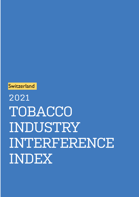# 2021 TOBACCO INDUSTRY INTERFERENCE INDEX

**Switzerland**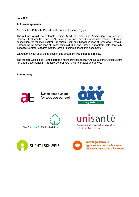**July 2021**

#### **Acknowledgements**

Authors: Kris Schürch, Pascal Diethelm, and Luciano Ruggia.

The authors would like to thank Claudia Künzli of Swiss Lung Association, Luc Lebon of Unisanté, Prof. em. Dr. Theodor Abelin of Berne University, Bruno Meili the president of Swiss association for tobacco control, Franziska Lenz and Mirjam Weber of Krebsliga Schweiz, Barbara Weil of Association of Swiss Doctors (FMH), and Kathrin Lauber from Bath University Tobacco Control Research Group, for their contributions to this document.

Without the input of all these people, this document would not be a reality.

The authors would also like to express sincere gratitude to Mary Assunta of the Global Centre for Good Governance in Tobacco Control (GGTC) for her edits and advice.

**Endorsed by**



**Swiss association** for tobacco control





nisantė

Centre universitaire de médecine générale et santé publique · Lausanne





krebsliga schweiz ligue suisse contre le cancer lega svizzera contro il cancro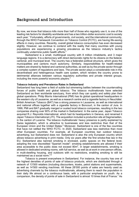### Background and Introduction

By now, we know that tobacco kills more than half of those who regularly use it, is one of the leading risk factors for disability worldwide and has a two trillion-dollar economic cost to society each year.<sup>1</sup> Fortunately, efforts of governments, civil society, and the international community, through the WHO Framework Convention on Tobacco Control (FCTC), are having life-saving effects in many countries. Recently, overall global tobacco consumption has even decreased slightly. However, we continue to contend with the reality that many countries with young populations are experiencing a growing prevalence as the tobacco industry's tactics continually undermine public health efforts.<sup>2</sup>

\_\_\_\_\_\_\_\_\_\_\_\_\_\_\_\_\_\_\_\_\_\_\_\_\_\_\_\_\_\_\_\_\_\_\_\_\_\_\_\_\_\_\_\_\_\_\_\_\_\_\_\_\_

Switzerland is a small, multilingual country with 8 million inhabitants, and 3 major language regions. It is a democracy with direct democratic rights for its citizens on the federal, cantonal, and municipal level. The country has a federalist political structure, which gives the municipalities and cantons much autonomy. Similarly, responsibilities for health-related matters are shared by federal and cantonal authorities, as well as by the private sector through a complex system of regulations and laws. The private sector plays a considerable role in this decentralised and heterogenous health care system, which renders the country prone to detrimental alliances between various regulatory authorities and private interest groups, including the more powerful economic players. $^3$ 

#### **Tobacco Industry and Prevalence Rates in Switzerland**

Switzerland has long been a field of subtle but simmering battles between the countervailing forces of public health and global tobacco. The tobacco multinationals have selected Switzerland as their worldwide sanctuary, from which they can quietly and safely plan their global operations. Philip Morris International (PMI) has its global operational headquarters in the western city of Lausanne, as well as a research centre and a cigarette factory in Neuchâtel. British American Tobacco (BAT) has a strong presence in Lausanne, as well as international and national offices together with a cigarette factory in Boncourt, in the canton of Jura. In 1999, PMI and BAT gradually merged or ousted local tobacco companies, resulting in the two companies sharing over 90% of the market in Switzerland. In the same year, Japan Tobacco acquired R.J. Reynolds International, which had its headquarters in Geneva, and renamed it Japan Tobacco International (JTI). The acquisition included a production site at Dagmersellen, in the canton of Lucerne. The tobacco multinationals' heavy presence is partly explained by Swiss legislation, which is attractive to businesses and less restrictive than that of the European Union and the United States.<sup>4</sup> Moreover, Switzerland is one of the few countries that have not ratified the WHO FCTC. In 2020, Switzerland was less restrictive than most other European countries. For example, all European countries ban outdoor tobacco advertising, but Switzerland does not. Switzerland is also the only European country which allows tobacco advertising in print media. Only six years after the first smoke-free law in the EU, Switzerland also banned smoking in enclosed, public spaces on the federal level, adopting the now discredited "Spanish model": smoking establishments are allowed if their area accessible to the public does not exceed  $80m^2$ , in larger establishments, smoking is allowed in dedicated smoking rooms, with full service, as well as at work in one-person offices, in multi-dwelling housing, and outdoors with no restrictions, enabling smoking to still be maintained as a social norm.<sup>56</sup>

Tobacco is present everywhere in Switzerland. For instance, the country has one of the highest densities of points of sale of tobacco products, which are distributed through a network of 13'500 retailers (including discounters, kiosks, petrol stations and supermarkets, as well as 14'500 vending machines. All these 28'000 points of sales are heavily used as advertising channels by the tobacco multinationals, allowing them to reach the population in their daily life almost on a continuous basis, with a particular emphasis on youth. As a comparison, the density of points of sale in Switzerland is almost 10 times that of France.<sup>7</sup> As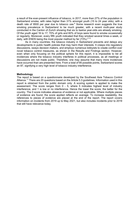a result of the ever-present influence of tobacco, in 2017, more than 27% of the population in Switzerland smoke, with rates higher than 31% amongst youth (15 to 24 year olds), with a death rate of 9500 per year due to tobacco use.<sup>8</sup> Some research even suggests the true smoking prevalence in Switzerland to be much greater, with a recent multi-year study conducted in the Canton of Zurich showing that six to twelve year-olds are already smoking. Of the youth aged 16 to 17, 70% of girls and 60% of boys were found to smoke occasionally or regularly. Moreover, every fifth youth indicated that they smoked several times a week, or daily, with ENDS being the most popular method by far (73%).<sup>910</sup>

As in many countries, the tobacco industry in Switzerland prevents and delays any developments in public health policies that may harm their interests. It creeps into regulatory discussions, sways decision makers, and employs numerous lobbyists to create conflict over novel tobacco control measures, as shown in the Results and Findings section. However, even when only focusing on the political sphere for this report, it is impossible to list all incidences where the tobacco industry interferes in political processes, as all meetings or discussions are not made public. Therefore, one may assume that many more incidences have occurred than are presented here. From a total of 95 possible points, Switzerland scores an 87, signifying a very high level of tobacco industry interference.

#### **Methodology**

The report is based on a questionnaire developed by the Southeast Asia Tobacco Control Alliance.<sup>11</sup> There are 20 questions based on the Article 5.3 guidelines. Information used in this report is obtained from the public domain only. A scoring system is applied to make the assessment. The score ranges from 0 - 5, where 5 indicates highest level of industry interference, and 1 is low or no interference. Hence the lower the score, the better for the country. The 0 score indicates absence of evidence or not applicable. Where multiple pieces of evidence are found, the score applied reflects an average. To increase readability, the references to pieces of evidence are placed at the end of the report. The report covers information on incidents from 2019 up to May 2021, but also includes incidents prior to 2019 that still have relevance today.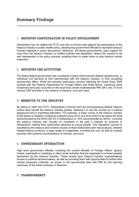#### 1. INDUSTRY PARTICIPATION IN POLICY DEVELOPMENT

Switzerland has not ratified the FCTC and has no formal rules against the participation of the tobacco industry in public health policy, allowing key government officials to represent tobacco industry interests in policy discussions. Moreover, the Swiss governments' open support for input from the tobacco industry on drafted policies and legislation, allows the industry to be well represented in the policy process, enabling them to water down or stop tobacco control measures.

\_\_\_\_\_\_\_\_\_\_\_\_\_\_\_\_\_\_\_\_\_\_\_\_\_\_\_\_\_\_\_\_\_\_\_\_\_\_\_\_\_\_\_\_\_\_\_\_\_\_\_\_\_

#### 2. INDUSTRY CSR ACTIVITIES

The Swiss federal government has no policies in place which prevent federal departments, or individual civil servants to form partnerships with the tobacco industry, or from accepting sponsorship offers. While this became particularly obvious following the Dubai Expo 2020 scandal with the Federal Department for Foreign Affairs and Philip Morris, numerous other incidences have also occurred on the local level, where multinationals PMI, BAT and JTI fund various CSR activities in the cantons of Geneva, Jura and Vaud.

#### 3. BENEFITS TO THE INDUSTRY

By failing to ratify the FCTC, Switzerland's minimal and non-encompassing federal tobacco control laws benefit the tobacco industry greatly, allowing it to use the country as a political playground and a marketing laboratory. For example, a major victory of the tobacco industry is the freeze on taxation of tobacco products since 2013, at a level which is far below the level recommended by the WHO (60.3% in Switzerland vs. 75% recommended by WHO). Currently the tobacco industry has virtually no constraint in the way it markets its products in Switzerland, making them particularly attractive to young people. This regulatory vacuum is exploited by the tobacco and nicotine industry to flood Switzerland with new products, whether heated tobacco products, a large range of e-cigarettes, including the Juul, as well as nicotine pouches with extreme concentrations of nicotine, and snus.

#### 4. UNNECESSARY INTERACTION

High level government officials, including the current Minister of Foreign Affairs, Ignacio Cassis, participate in meetings or other social activities that are organised or at least partially sponsored by the tobacco industry. These events give tobacco industry representatives access to political decisionmakers, as well as providing them with opportunities to further their market expansion interests, as shown in the sponsorship deal with PMI for the opening ceremony of the Swiss embassy in Moscow.

#### 5. TRANSPARENCY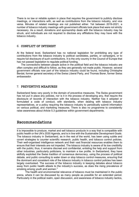There is no law or reliable system in place that requires the government to publicly disclose meetings, or interactions with, as well as contributions from the tobacco industry, and vice versa. Minutes of related meetings are not published either. Yet between 2019-2021, a number of tobacco industry meetings with government officials took place that were not strictly necessary. As a result, donations and sponsorship deals with the tobacco industry may be struck, and individuals are not required to disclose any affiliations they may have with the tobacco industry.

#### 6. CONFLICT OF INTEREST

At the federal level, Switzerland has no national legislation for prohibiting any type of contributions from the tobacco industry to political candidates, parties, or campaigns, or to require full disclosure of such contributions. It is the only country in the Council of Europe that has not passed legislation to regulate political funding.

The connections between people active in the political field and the tobacco industry are often complex and difficult to follow, as they are generally not made public. However, several government officials now part of the tobacco industry could be found, including Christophe Berdat, former general secretary of the Swiss Liberal Party, and Thomas Borer, former Swiss ambassador.

#### 7. PREVENTIVE MEASURES

Switzerland fares very poorly in the domain of preventive measures. The Swiss government has not put in place any policies, nor is it in the process of developing any, that require the disclosure of records of interaction with the tobacco industry. Neither has it adopted or formulated a code of conduct, with standards, when dealing with tobacco industry representatives, or a policy requiring the tobacco industry to periodically submit information on various political, and marketing measures. There is also no programme to consistently raise awareness about Article 5.3 guidelines within government departments.

## Recommendations

It is impossible to produce, market and sell tobacco products in a way that is compatible with public health or the UN's 2030 Agenda, and is in line with the Sustainable Development Goals. The tobacco industry in Switzerland, as in the rest of the world, has been using subtle and covert strategies to counter scientific research, public health, and tobacco control policies. Their well-organised intelligence network and their vast financial resources enables them to ensure that their interests are not impeded. The tobacco industry is aware of its low credibility with the public; thus, it remains discreet and confidential, enlisting the help and support from other industries, particularly politicians, to maintain a low profile. In Switzerland, they have skilfully exploited the Swiss tradition of consensus democracy, using the process of political debate, and public consulting to water down or stop tobacco control measures, ensuring that the dominant and consistent role of the tobacco industry in tobacco control policies has been largely overlooked. The success of the tobacco industry in keeping debates about tobacco away from public health attests to the industry's success, as does the rising prevalence of smoking among youth and women. $^3$ 

\_\_\_\_\_\_\_\_\_\_\_\_\_\_\_\_\_\_\_\_\_\_\_\_\_\_\_\_\_\_\_\_\_\_\_\_\_\_\_\_\_\_\_\_\_\_\_\_\_\_\_\_\_

The health and environmental relevance of tobacco must be maintained in the public arena, where it can be discussed by as many people as possible for an extended period. Particularly in the political realm, open discussion, and awareness of tobacco industry tactics,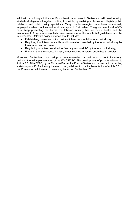will limit the industry's influence. Public health advocates in Switzerland will need to adopt similarly strategic and long-term tactics, if possible, by enabling professional lobbyists, public relations, and public policy specialists. Many counterstrategies have been successfully employed in other countries and must be adapted to Switzerland. The government and NGO's must keep presenting the harms the tobacco industry has on public health and the environment. A system to regularly raise awareness of the Article 5.3 guidelines must be implemented. Relevant policy activities should include:

- Establishing measures to limit political interactions with the tobacco industry,
- Requiring that interactions with, and information provided by the tobacco industry be transparent and accurate,
- Regulating activities described as "socially responsible" by the tobacco industry,
- Ensuring that the tobacco industry is not involved in setting public health policies.

Moreover, Switzerland must adopt a comprehensive national tobacco control strategy, outlining the full implementation of the WHO FCTC. The development of projects relevant to Article 5.3 of the FCTC, by the Tobacco Prevention Fund in Switzerland, is crucial to promoting a status-quo shift. Particularly the use of the guidelines for the implementation of Article 5.3 of the Convention will have an overarching impact on Switzerland.<sup>12</sup>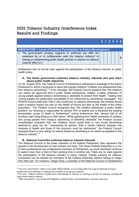## 2021 Tobacco Industry Interference Index Results and Findings

| <b>INDICATOR 1: Level of Industry Participation in Policy-Development</b>                                                                                                                                                                                            |  |  |  |  |  |  |  |  |
|----------------------------------------------------------------------------------------------------------------------------------------------------------------------------------------------------------------------------------------------------------------------|--|--|--|--|--|--|--|--|
| 1. The government <sup>a</sup> accepts, supports or endorses any offer for<br>assistance by or in collaboration with the tobacco industry <sup>b</sup> in<br>setting or implementing public health policies in relation to tobacco<br>control <sup>c</sup> (Rec 3.1) |  |  |  |  |  |  |  |  |

Switzerland has no formal rules against the participation of the tobacco industry in public health policy.

#### **A. The Swiss government endorses tobacco industry interests and puts them above public health objectives**

On 26. August 2020, the Federal Council of Switzerland addressed a message to the Swiss Parliament in which it proposed to reject the popular initiative "Children and adolescents free from tobacco advertising".<sup>13</sup> In its message, the Federal Council explains that "the initiative can clearly be approved from a public health perspective. Indeed, a better protection of young people against tobacco advertising is desirable to protect their health." Seeing that "young people are particularly susceptible to be influenced by advertising messages", the Federal Council adds that "with a very broad ban on tobacco advertising, the initiative would have a positive impact not only on the health of minors but also on the health of the entire population." The Federal Council recognizes that "the initiative addresses a public health problem" as "smoking is responsible for almost 15% of deaths and is therefore the leading preventable cause of death in Switzerland" noting furthermore that "almost half of all smokers start using tobacco in their teens." While agreeing that "better protection of children and young people from tobacco advertising is therefore desirable" the Federal Council nevertheless considers that "the initiative, which would lead to very broad advertising restrictions, goes too far." Expressing its opinion "that a certain balance between the interests of health and those of the economy must be maintained," the Federal Council reasserts that it is only willing "to restrict [tobacco] advertising to an extent acceptable to the tobacco industry".<sup>14</sup>

#### **B. National Councillor endorses tobacco industry interests**

The National Council is the lower chamber of the federal Parliament; they represent the people in the development of new policies and laws. The Swiss Federal Assembly is a mix of semi-professional and professional members of Parliament, as some members continue to spend more than a third of their working time in another job. There are no rules against the participation of the tobacco industry in policy making. People working for tobacco companies can be elected as members of the Federal Assembly without having to resign from their job. For instance, Gregor Rutz, a member of the National Council of Switzerland

a<sub>a</sub> The term "government" refers to any public official whether or not acting within the scope of authority as long as cloaked with such authority or holding out to another as having such authority

**b** The term, "tobacco industry' includes those representing its interests or working to further its interests, including the State-owned tobacco industry.

<sup>c</sup> "Offer of assistance" may include draft legislation, technical input, recommendations, oversees study tour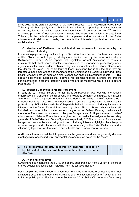since 2012, is the salaried president of the Swiss Tobacco Trade Association (called Swiss Tobacco). He has openly stated that he is committed to supporting attractive business operations, low taxes and to oppose the impediment of "unnecessary laws".<sup>15</sup> He is a dedicated promoter of tobacco industry interests. The association which he chairs, Swiss Tobacco, is the umbrella organisation of companies and organisations in the Swiss wholesale and retail tobacco trade; it represents their interests in political, economic and social matters.<sup>16 17</sup>

#### **C. Members of Parliament accept invitations to meals in restaurants by the tobacco industry**

In a working paper recently published by the Swiss Graduate School of Public Administration entitled "Tobacco control policy: strategy and tactics used by the tobacco industry in Switzerland", Samuel Adam reports that legislators accept "invitations to meals in restaurants that offer tobacco industry representatives the opportunity to present arguments against a stricter law, in order to obtain a majority during votes in the National Council and the Council of States. The particularity of these invitations lies in the fact that they are targeted at parliamentarians and members of the Committee on Social Security and Public Health, who have not yet adopted a clear-cut position on the subject under debate. (…) This operating technique suggests that lobbyists representing tobacco interests are profiling parliamentarians in order to determine those who are the most influential or able to defend their cause".<sup>18</sup>

#### **D. Tobacco Lobbyists in federal Parliament**

In early 2019, Thomas Borer, a former Swiss Ambassador, was lobbying international organisations in Geneva on behalf of Juul, an e-cigarette company with a growing market in Switzerland. Altria, the parent company of Philip Morris USA, holds a third of Juul's shares.<sup>19</sup> In December 2019, Alfred Heer, another National Councillor, representing the conservative political party SVP (Schweizerische Volkspartei), helped the tobacco industry increase its influence in the Swiss Federal Parliament by giving Thomas Borer, whose clients still included Juul, one of his coveted access badges to the Federal Palace, of which each member of Parliament can issue two.<sup>20</sup> Jacques Bourgeois and Philippe Nantermod, both of whom are also National Councillors have given such accreditation badges to the secretary generals of SwissTabac and Swiss Cigarette respectively.<sup>21 22</sup> The provision of such access badges to known lobbyists working for tobacco industry interests highlights the attempt to endorse, support and collaborate with the tobacco industry in the Swiss Parliament and in influencing legislative work related to public health and tobacco control policies.

Additional information is difficult to provide, as the government does not generally disclose meetings with tobacco industry representatives and related notes for the record.

| 2. The government accepts, supports or endorses policies or                   |  |  |  |
|-------------------------------------------------------------------------------|--|--|--|
| legislation drafted by or in collaboration with the tobacco industry. $\vert$ |  |  |  |
| (Rec 3.4)                                                                     |  |  |  |

#### **A. At the national level**

Switzerland has not ratified the FCTC and openly supports input from a variety of actors on drafted policies and legislation, including from the tobacco industry.

For example, the Swiss Federal government engages with tobacco companies and their affiliated groups through federal consultations (Vernehmlassungsverfahren) which are held to inform public policy. For instance in September 2019, Swiss Cigarette, the front group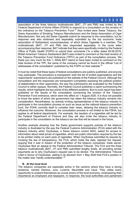association of the three tobacco multinationals (BAT, JTI and PMI) was invited by the Federal Department of Home Affairs (FDHA) to respond to a consultation on the revision of the ordinance on the Tobacco Prevention  $F$ und.<sup>23</sup> Also invited were Swiss Tobacco, the Swiss Association of Smoking Tobacco Manufacturers and the Swiss Association of Cigar Manufacturers. Not only did Swiss Cigarette submit its response to the consultation, but its response was also endorsed and separately submitted by the top economic trade association of Switzerland, economiesuisse, of which Swiss Cigarette is a member. The multinationals (BAT, JTI and PMI) also responded separately. In the cover letter accompanying their response, BAT indicate that they were specifically invited by the Federal Office of Public Health (FOPH) to submit their comments ("In a letter dated 09.09.2019, British American Tobacco Switzerland (BAT) was invited to comment on the total revision of the Tobacco Prevention Fund Ordinance (TPFV) as part of the consultation process. We thank you very much for this."). While BAT claims to have been invited to comment on the total revision of the TPF, the name of the company cannot be found in the official "List of addressees of the consultation" published by the FOPH on their website. $^{24}$ 

It must be noted that these types of federal consultations are publicly published, and anyone may participate. The procedure is transparent: both the list of invited organisations and the respondents' submissions are published on the website of the Federal Council. Although the consultation and the responses are transparent (completely exposing the political position of stakeholders to their opponents), the way the submissions are evaluated by the Federal Council is rather opaque. Normally, the Federal Council publishes a report summarizing the results, which highlights the key points of the different positions. But no such report has been published on the results of the consultation concerning the revision of the Tobacco Prevention Fund ordinance, which went into effect on 1 August 2020. It is thus not possible to know the extent of which the government has taken the tobacco industry remarks into consideration. Nevertheless, by actively inviting representatives of the tobacco industry to participate in the consultation process on such an issue as the national tobacco prevention fund, the FDHA commits itself to consider their views, allowing the tobacco industry to influence the outcome. Moreover, the consultation process is not limited to the FDHA, but applies to all federal departments. For example, the taxation of e-cigarettes will be led by the Federal Department of Finance and they will also invite the tobacco industry to participate in the consultation on the tobacco tax law that will be issued in the future.

Another example showing how the Swiss government supports policies of the tobacco industry is illustrated by the way the Federal Customs Administration (FCA) sided with the tobacco industry when OxySuisse, a Swiss tobacco control NGO, asked for access to information about retail prices of cigarettes, which are public information required by the law to be printed visibly on each pack of cigarettes. When OxySuisse submitted its request by invoking the law of transparency, the FCA, which holds the data, rejected the request, arguing that it was in breach of the protection of the tobacco companies' trade secret. OxySuisse filed an appeal to the Federal Administrative Tribunal. The FCA and the three tobacco multinationals (BAT, JTI and PMI) submitted lengthy briefs, all providing similar arguments as to why OxySuisse's request was to be denied. The Administrative Tribunal ruled in favour of OxySuisse, stating in its decision from 1 May 2020 that FCA's position in the matter was "hardly understandable".<sup>25</sup>

#### **B. At the local level**

The tobacco companies are especially active in the cantons where they have a strong presence, namely Geneva, Jura, Lucerne, Neuchâtel and Vaud. They utilise every opportunity to present themselves as crucial actors of the local economy, emphasizing their importance as employers and taxpayers. In response, the local authorities and parliament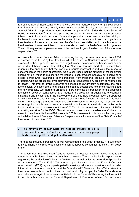representatives of these cantons tend to side with the tobacco industry on political issues, that threaten their interest, notably those related to public health, as has been shown by Samuel Adam in the previously mentioned working paper of the Swiss Graduate School of Public Administration.<sup>18</sup> Adam analysed the results of the consultation on the proposed tobacco control law and concluded: "It would appear that some cantons are less willing to implement more restrictive measures because of the presence of tobacco companies on their territory. As an example, we can cite Vaud and Neuchâtel, which are home to the headquarters of two major tobacco companies also active in the field of electronic cigarettes. They both request a complete overhaul of the draft law to go in the direction of the economic organizations."18

An example of what Samuel Adam is referring to may be seen in a letter from 2018, addressed to the FDHA by the State Council of the canton of Neuchâtel, where PMI has its science & technology centre, as well as a large factory. The cantonal authorities commented on the draft tobacco product law, stating that: "The draft law falls short of our expectations regarding the opportunity that reduced-risk products represent in reducing the impact of consumption on the health of smokers. We are convinced that the ambition of the legislation should not be limited to making the marketing of such products possible but should be to create a framework favourable to the transition from traditional products to these new products, with the prospect of eventually freeing ourselves from any problem of harmfulness to health. This implies giving ourselves the means to dynamically accompany the rapid technological evolution of this field, but also to open up possibilities for communicating about the new products. We therefore propose a more concrete differentiation of the applicable restrictions between conventional and reduced-risk products. In addition to encouraging innovation and investment in the development of these new products, such an approach would allow the tobacco industry's marketing budgets to be favourably oriented. This would send a very strong signal to an important economic sector for our country, to support and encourage its transformation towards a sustainable future. It would also reconcile public health and economic development issues".<sup>26</sup> This is an almost verbatim copy of PMI's marketing narrative for the IQOS. "Transformation towards a sustainable future": the words seem to have been lifted from PMI's website. $^{27}$  This is relevant to this day, as the co-signers of the letter, Laurent Favre and Séverine Despland are still members of the State Council of the canton of Neuchâtel. 28 29

3. The government allows/invites the tobacco industry to sit in government interagency/ multi-sectoral committee/ advisory group body that sets public health policy. (Rec 4.8)

**5**

The tobacco industry perspective is well represented in the policy process. It is customary to invite financially strong organisations, such as tobacco companies, to consult on policy drafts.

The government has also been found to advise the tobacco industry. SwissTabac is the umbrella organisation for the country's tobacco growers. The organisation is responsible for organising the production of tobacco in Switzerland, as well as for the professional protection of its members. Their 2019-2020 annual report indicated that the Federal Customs Administration (FCA) regularly participated in meetings with industry partners and provided information on the tobacco situation at the federal level<sup>30</sup>. Moreover, SwissTabac state that they have been able to count on the collaboration with Agroscope, the Swiss Federal centre of excellence for agriculture research, affiliated with the Federal Office for Agriculture, which in turn is subordinate to the Federal Department of Economic Affairs, Education and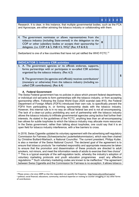|                                                                                                                                                                                                                                                                                                                                                                                             | $\bf{0}$ |  |  | 3 |  |   |  |
|---------------------------------------------------------------------------------------------------------------------------------------------------------------------------------------------------------------------------------------------------------------------------------------------------------------------------------------------------------------------------------------------|----------|--|--|---|--|---|--|
| Research. It is clear, in this instance, that multiple governmental bodies, such as the FCA<br>and Agroscope, are either advising the tobacco industry or collaborating with them.                                                                                                                                                                                                          |          |  |  |   |  |   |  |
| 4. The government nominates or allows representatives from the<br>tobacco industry (including State-owned) in the delegation to the<br>COP or other subsidiary bodies or accepts their sponsorship for<br>delegates. (i.e. COP 4 & 5, INB 4 5, WG) <sup>d</sup> (Rec 4.9 & 8.3)                                                                                                             | $\bf{0}$ |  |  |   |  |   |  |
| Switzerland is one of a few countries that have not yet ratified the WHO FCTC. <sup>31</sup>                                                                                                                                                                                                                                                                                                |          |  |  |   |  |   |  |
| <b>INDICATOR 2: Industry CSR activities</b>                                                                                                                                                                                                                                                                                                                                                 |          |  |  |   |  |   |  |
| 5. A. The government agencies or its officials endorses, supports,<br>forms partnerships with or participates in so-called CSR activities<br>organized by the tobacco industry. (Rec 6.2)<br>B. The government (its agencies and officials) receives contributions <sup>e</sup><br>(monetary or otherwise) from the tobacco industry (including so-<br>called CSR contributions). (Rec 6.4) |          |  |  |   |  | 5 |  |

#### **A. Federal Government**

The Swiss Federal government has no policies in place which prevent federal departments, or individual civil servants to form partnerships with the tobacco industry, or from accepting sponsorship offers. Following the Dubai World Expo 2020 scandal (see #10), the Federal Department of Foreign Affairs (FDFA) introduced their own rule, to specifically prevent the FDFA from participating in, or forming sponsorship deals with the tobacco industry. However, this internal rule is in no way an official federal law and is not all encompassing. The lack of a clear-cut policy prohibiting any sort of partnership with the tobacco industry allows the tobacco industry to infiltrate governmental agencies using tactics that further their interests. As stated in the guidelines of the FCTC, anything less than an all-encompassing ban allows for subtle loopholes to which the tobacco industry may allocate more resources. In the Swiss government, rather than talking about loopholes, one could say that it is an open field for tobacco industry interference, with a few barriers to cross.

In 2018, Swiss Cigarette updated its voluntary agreement with the advertising self-regulatory Commission for Fairness (Schweizerische Lauterkeitskommission), which was then chaired by Christine Buillard-Marbach, a National Councillor. The current president, Philipp Kutter, is also a member of the Swiss National Council. The declared goal of the agreement is to ensure that tobacco products "be marketed responsibly and appropriate measures be taken to ensure that the promotion and dissemination of these products are directed to adult smokers, not minors, and meet the information needs of adults to exercise their free choice".  $32$  This is a typical example of the self-regulation tactic, whereby the industry's adoption of voluntary marketing protocols and youth education programmes avert any effective regulations.<sup>33</sup> Such voluntary marketing codes are known to be ineffective.<sup>2</sup> The agreement between Swiss Cigarette and the Commission for Fairness is no exception. It allows tobacco

<sup>d</sup> Please annex a list since 2009 so that the respondent can quantify the frequency, http://www.who.int/fctc/cop/en/

<sup>e</sup> political, social financial, educations, community, technical expertise or training to counter smuggling or any other forms of contributions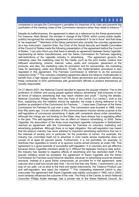companies to escape the Commission's penalties for breaches of its rules and prevents the publication of the meeting notes of the Commission decisions when they relate to tobacco.<sup>34</sup>

Despite its ineffectiveness, the agreement is taken as a reference by the Swiss government. For instance, Alain Berset, the minister in charge of the FDHA, which covers public health, publicly recognized the voluntary agreement and considered it "to be in force" and that ishas to "be respected".<sup>35</sup> Members of the Swiss parliament also consider the voluntary agreement as a key instrument. Joachim Eder, the Chair of the Social Security and Health Committee of the Council of States made the following presentation of the agreement before the Council of States: "I can only inform you that there is already an agreement between Swiss Cigarette, representing all Swiss manufacturers, and the Swiss Commission for Fairness regarding self-restrictions of the cigarette industry in advertising… This agreement governs the marketing rules: the marketing rules for the media, such as the print media, outdoor and billboard advertising, cinema, Internet, video, audio and computer, placement of the products; and also, the marketing rules for promotion and for sponsorship; the marketing rules for packaging, sales and distribution. Finally, the implementation procedure is also regulated in this agreement. The Fairness Commission is referred to as the exclusive inspection body".<sup>36</sup> The voluntary marketing agreement allows the tobacco multinationals to benefit from a high degree of support from the Swiss government and parliament, allowing these companies to form partnerships with government officials to present themselves as socially responsible.

On 21 March 2021, the National Council decided to oppose the popular initiative "Yes to the protection of children and young people against tobacco advertising" that proposes to ban all forms of tobacco advertising that may reach children and youth.<sup>13</sup> During the debate, National Councillor Philipp Kutter, from the Party of the Centre ("Le Centre"), took to the floor, explaining why the initiative should be rejected. He made a strong reference to his position as president of the Commission for Fairness: "…I have been Chairman of the Swiss Commission for Fairness for just over a year. This commission was founded in 1966, more than fifty years ago. It is an institution of the communications industry whose purpose is the self-regulation of commercial advertising. It deals with complaints about unfair advertising. Although the rulings are not binding on the State, they have always had a regulating effect in the past. This self-regulation also has an effect on tobacco advertising. In 2005, Swiss Cigarette, the association of the three most important cigarette companies in Switzerland, reached an agreement with the Commission for Fairness on voluntary marketing and advertising guidelines. Although there is no legal obligation, this self-regulation has meant that the tobacco industry has since adhered to important advertising restrictions that are in the interests of society and, in particular, for the protection of minors. For example, the industry has committed itself not to advertise in print media whose readership does not consist of at least 80 percent adults. Furthermore, it is not permitted, for example, to distribute free cigarettes to minors or to sponsor events aimed primarily at under-18s. This agreement is a good example of successful self-regulation. It is voluntary and yet effective because Swiss Cigarette members abide by it. Without the legislator having to take action, the industry has reacted to negative effects of advertising and has restricted itself. If the popular initiative would be accepted, the agreement of Swiss Cigarette and the Swiss Commission for Fairness would become obsolete, because no advertising would be allowed anymore. Instead of a good Swiss compromise, as provided for in the agreement, state coercion and a total ban would take hold. I do not find that very Swiss. I recommend: Let us stay on our path. Let us stick to the tried and tested instruments, the Tobacco Product Law and self-regulation, and reject the initiative".<sup>37</sup> This misleading statement (which is also inaccurate: the agreement with Swiss Cigarette was initially concluded in 1992, not in 2005) most certainly influenced the outcome of the vote. The Party of the Centre, to which National Councillor Philipp Kutter belongs, has a pivotal role in the Swiss National Council. Its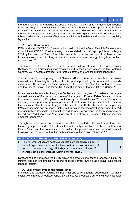members voted 21 to 6 against the popular initiative. If only 7 of its members had switched sides and supported the initiative, the initiative would have won the support of the National Council. This would have supported its future success. This example emphasizes how the tobacco self-regulation mechanism works: while being glaringly ineffective at regulating tobacco advertising, it is most effective as a political tool to defeat strict tobacco advertising legislation.

#### **B. Local Government**

PMI contributed 390'000 CHF towards the construction of the Vaud Fine Arts Museum, and an additional 50'222 CHF to its running costs. As stated in a draft report published in August 2019 by the canton of Vaud, 98% of the payments for the construction of the Museum are to be made over a period of ten years, which may be seen as a strategy of long-term contacts and collusion.<sup>38</sup>

The Grand Théâtre de Genève is the largest cultural structure of French-speaking Switzerland. It is a public institution mostly funded by the City of Geneva and the Canton of Geneva. Yet, it accepts amongst its "greatest patrons" the tobacco multinational JTI.<sup>39</sup>

The museum of contemporary art of Geneva, MAMCO, is a public foundation sustained materially and financially by public authorities and supported by its donors and its friends' association. JTI is among its "main sponsors", at the same level as the Canton of Geneva and the City of Geneva. The former CEO of JTI also sits on the foundation's Council.<sup>40</sup>

Numerous similar examples throughout Switzerland could be given. For instance, the largest open-air festival of Switzerland, and one of the largest in Europe, Paleo Festival, in Nyon, has been sponsored by Philip Morris continuously for at least the last 20 years. The tobacco company has kept a large physical presence at the festival. The president and founder of the Festival is also the current mayor of the city of Nyon. He has been strongly supporting PMI's sponsorship and presence, justifying it by saying that the activities sponsored by PMI are "uniquely addressed to adult smokers," while in fact associating the festivities organized by PMI with "adulthood" and "smoking" constitute a strong reinforcer of tobacco initiation amongst teenagers.<sup>41</sup>

Through its British American Tobacco Foundation, located in the canton of Jura, BAT financially supports and collaborates with local charity institutions, such as Caritas Jura, Caritas Vaud, and the Foundation "Les Castors" for persons with disabilities, all of which have close partnerships with public authorities and public social institutions.  $4243$ 

| <b>INDICATOR 3: Benefits to the Tobacco Industry</b>              |  |  |  |
|-------------------------------------------------------------------|--|--|--|
| 6. The government accommodates requests from the tobacco industry |  |  |  |
| for a longer time frame for implementation or postponement of     |  |  |  |
| tobacco control law. (e.g. 180 days is common for PHW, Tax        |  |  |  |
| increase can be implemented within 1 month) (Rec 7.1)             |  |  |  |

Switzerland has not ratified the FCTC, which has greatly benefited the tobacco industry, as minimal and non-encompassing federal, tobacco control laws act as a playground for the tobacco industry.

#### **A. Lack of age limit on the federal level**

In Switzerland, tobacco regulation is not under any current, federal public health law that is exclusively directed at tobacco. A new law on tobacco products is currently under discussion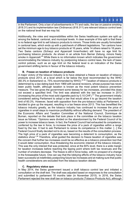in the Parliament. Only a ban of advertisements in TV and radio, the law on passive smoking (818.31) and its implementation law (Ordinance) (818.311) are relevant tobacco control laws on the national level that we may list.

Additionally, the roles and responsibilities within the Swiss healthcare system are split up among the federal, cantonal, and municipal levels. A clear example of this split is that there is no federal age limit to sell tobacco products to minors. Those limits are usually formulated in cantonal laws, which ends up with a patchwork of different legislations. Ten cantons have set the minimum age to buy tobacco products at 16 years, while 14 others raised to 18 years. Two Swiss cantons (Schwyz and Appenzell Innerrhoden) still have no age limit for purchasing tobacco products. As shown in an article from Berner Zeitung, minors freely smoke in Appenzell.<sup>44</sup> While there is no information known which indicates the government accommodating the tobacco industry by postponing tobacco control laws, the lack of basic control policies, such as an age limit on the federal level is an indication of the Swiss government shifting terms in favour of the tobacco industry.

#### **B. Freeze on taxation of tobacco products**

A major victory of the tobacco industry is to have obtained a freeze on taxation of tobacco products since 2013, at a level which is far below the level recommended by the WHO  $(60.3\%$  in Switzerland vs. 75% recommended by WHO).<sup>4546</sup> Taxation of tobacco products is determined by a law dating back from 1969 with several revisions, whose purpose has never been public health, although taxation is known as the most potent tobacco prevention measure. The law gives the government some leeway for tax increases, provided this does not exceed a specified limit. The limit was attained with the last tax increase in 2013 (increasing the price of the most sold cigarette pack by 0.10 CHF). $47$  The government initially considered asking Parliament to adopt a law that would allow it to go beyond the taxation limit of 60.3%. However, faced with opposition from the pro-tobacco lobby at Parliament, it decided to give up the request, resulting in a tax freeze since 2013. This has benefitted the tobacco industry greatly, as the tobacco industry has continued to increase the price of cigarettes in small steps to maximize profitability without affecting demand. The president of the Economic Affairs and Taxation Committee of the National Council, Dominique de Buman, reported on the debate that took place in the committee on the tobacco taxation issue as follows: "Opinions were divided on the abandonment by the Federal Council of its power to increase tobacco taxes. In fact, the Federal Council had exhausted its competence, conferred by the law in force, to increase the price of a pack of cigarettes within a range fixed by the law. It had to ask Parliament to renew its competence in this matter. [...] the Federal Council finally decided not to do so, based on the results of the consultation process. The high price of a pack of cigarettes was becoming a deterrent to consumption, as the statistics show".<sup>48</sup> Therefore, what guided the decision to freeze taxation of cigarettes was the concern that further tax increases could be so effective as a tobacco prevention tool that it would deter consumption, thus threatening the economic interest of the tobacco industry. This was the only interest that was protected, since at the 60% level, there is a wide margin for taxation increases before reaching the tipping point where both tax revenues and the number of smokers decrease. The freeze is still in force today, with no prospect of a change in the foreseeable future. One can say that the lobbying efforts of the tobacco industry have been successful at indefinitely postponing future tax increases and at making sure that public health considerations are excluded from the tobacco taxation debate.

#### **C. Regulatory status quo**

In May 2014, the Swiss government issued a draft tobacco control law and initiated a consultation on the draft text. The draft was adjusted based on responses to the consultation and submitted to parliament 18 months later (in November 2015). In 2016, the Swiss Parliament rejected the new draft law on tobacco products (Tobacco Products Act), although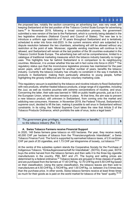the proposed law, notably the section concerning an advertising ban, was very weak, still keeping Switzerland at the last position of the Tobacco Control Scale Europe for advertising bans.<sup>49</sup> In November 2019, following a broad consultation process, the government submitted a new version of the law to the Parliament, which is currently being debated in the two legislative chambers (National Council and Council of States). The new law is to introduce a uniform age restriction of 18 years throughout Switzerland and is tentatively scheduled to enter into force mid-2023. In the current versions which are subjected to a dispute resolution between the two chambers, advertising will still be allowed without any restriction at the point of sale. Moreover, cigarette vending machines will continue to be allowed, and Switzerland will remain at the last position of the 36 countries evaluated in the Tobacco Control Scale Europe. The advertising ban will not be comprehensive, limited to a catalogue of traditional marketing measures which the tobacco industry basically no longer uses. This highlights how far behind Switzerland is in comparison to its neighbouring countries. Moreover, it is unclear whether this law will in fact come into force in 2023. <sup>50</sup> The regulatory status quo that the inconclusive legislative process has maintained for the past seven years, which will likely persist for another number of years, benefits the tobacco industry. Currently the tobacco industry has virtually no constraint in the way it markets its products in Switzerland, making them particularly attractive to young people, further highlighting the grossly ineffective and illusory voluntary marketing code.

This regulatory vacuum is exploited by the tobacco and nicotine industry to flood Switzerland with new products, whether heated tobacco products, a large range of e-cigarettes, including the Juul, as well as nicotine pouches with extreme concentrations of nicotine, and snus. Concerning the latter, their sale was banned in 1995 on public health grounds, just as it is in the European Union, where the ban remains in place. At that time, the aim was to prevent a new tobacco product, still unknown in Switzerland, from coming onto the market and addicting new consumers. However, in November 2019, the Federal Tribunal, Switzerland's supreme court, decided to lift the ban, making it possible to sell snus in Switzerland without constraints. In its ruling, the Federal Supreme Court takes the view that Article 5 of the Tobacco Products Ordinance, which prohibits the sale of snus, lacks a legal basis.<sup>51</sup>

| 7. The government gives privileges, incentives, exemptions or benefits |  |  |  |
|------------------------------------------------------------------------|--|--|--|
| to the tobacco industry (Rec 7.3)                                      |  |  |  |

#### **A. Swiss Tobacco Farmers receive Financial Support**

In 2020, 148 Swiss farmers grew tobacco on 420 hectares. Per year, they receive nearly 40,000 CHF per hectare of tobacco from the "Finanzierungsfonds Inlandtabak", a Swiss Tobacco Finance Fund. The fund is supported by earmarked tobacco taxes, of 2.6 centimes CHF per pack of 20 cigarettes, and 1.73 CHF per kilogramme of loosely, cut tobacco.<sup>5253</sup>

At the centre of this subsidies system stands the Cooperative Society for the Purchase of Indigenous Tobacco, "Einkaufsgenossenschaft für Inlandtabak", (SOTA). Every year, SOTA buys the entire harvest from the tobacco farmers and then sells it to the three big cigarette manufacturers in the country, PMI, BAT and JTI. The buying and selling prices are determined by a federal ordinance.<sup>54</sup> Tobacco leaves are grouped in three classes of quality and are purchased from the farmers at 17.40 CHF/kg, 12.70 CHF/kg and 5.50 CHF/kg based on their classification. Using the same classification, the tobacco leaves are then sold to manufacturers at 4.50 CHF/kg, 3.70CHF/kg, and 1.00 CHF/kg, i.e. between 3 to 5 times less than the purchase price. In other words, Swiss tobacco farmers receive at least three times as much for their goods as is paid on the world market for tobacco of the "best" quality.<sup>54–56</sup>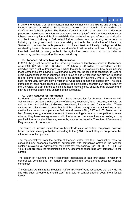In 2019, the Federal Council announced that they did not want to shake up and change the financial support provided to Swiss tobacco growers, even though this contradicts the Confederation's health policy. The Federal Council argued that a restriction of domestic production would have no influence on tobacco consumption. <sup>57</sup> While a direct influence on tobacco consumption is difficult to establish, the continued support of tobacco production and the tobacco industry in Switzerland further underscores the backing to the tobacco industry by the government, thus normalising not only the production of tobacco in Switzerland, but also the public perception of tobacco itself. Additionally, the high subsidies received by tobacco farmers have a one side-effect that benefits the tobacco industry, as they help maintain a strong lobby in the agricultural world, which in turn provides an unwavering political support for the tobacco industry.

#### **B. Tobacco Industry Taxation Optimization**

In 2019, the global net sales of the three big tobacco multinationals based in Switzerland were: PMI 30.2 billion; BAT 33 billion; JTI 20 billion (in US dollars).<sup>58</sup> Switzerland is a tax paradise, with a lack of transparency, limiting the ability to know exactly how much in taxes these companies are paying in Switzerland. Moreover, the lack of transparency is used to avoid paying taxes in other countries. If the taxes paid in Switzerland can play an important role for some local economies, such as in the canton of Neuchâtel, where PMI is the first fiscal contributor, they are only a fraction of what those companies should pay. The fiscal strategies of those multinationals are complex and difficult to understand. A recent report by the University of Bath started to highlight those mechanisms, showing that Switzerland is playing a central place in this scheme of tax avoidance.<sup>59</sup>

#### **C. Open Request for Information**

In March 2021, representatives of the Swiss Association for Smoking Prevention (AT Schweiz) sent out letters to the cantons of Geneva, Neuchatel, Vaud, Lucerne, and Jura, as well as the municipalities of Geneva, Neuchatel, Lausanne and Dagmersellen. These cantons and cities were chosen as they hold the various headquarters from the three largest multinational tobacco companies in Switzerland, namely PMI, BAT and JTI. Based on the law of transparency, a request was sent to the concerning cantons or municipalities to reveal whether they have any agreements with the tobacco companies they are hosting and to provide information about these agreements, such as tax benefits. The cities of Geneva and Dagmersellen did not respond.

The canton of Lucerne stated that tax benefits do exist for certain companies, however based on their secrecy obligation according to the § 134 Tax Act, they do not provide this information to third parties.

The representatives from the canton of Geneva stated that their examination "has not concluded any economic promotion agreements with companies active in the tobacco sector." In relation tax agreements, they state that "tax secrecy ((art. 39 LHID, 110 LIFD et 11 LPFisc) prevents the transmission of any document concerning any company" in the canton.

The canton of Neuchatel simply responded "application of legal provisions" in relation to general tax benefits and tax benefits on research and development costs for tobacco companies.

The Cantonal Administrative Mediation Office (BCMA) of Vaud responded that they "do not see why such agreements should exist" and said to contact another department for tax issues.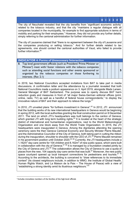The city of Neuchatel revealed that the city benefits from "significant economic activity" related to the tobacco industry, and that the city "maintains a regular dialogue with all companies located in the municipality, for example to find appropriate solutions in terms of mobility and parking for their employees." However, they did not provide any further details, simply referring to the cantonal administration for further information.

**0 1 2 3 4 5**

**5**

The city of Lausanne claimed that "there is no agreement between the city of Lausanne and the companies producing or selling tobacco." And for further details related to tax agreements, one should contact the cantonal authorities of Vaud, who failed to provide further information.<sup>60</sup>

#### **INDICATOR 4: Forms of Unnecessary Interaction**

8. Top level government officials (such as President/ Prime Minister or Minister<sup>f</sup>) meet with/ foster relations with the tobacco companies such as attending social functions and other events sponsored or organized by the tobacco companies or those furthering its interests. (Rec 2.1)

In 2019, two National Councillors accepted invitations from BAT to take part in media discussions. A confirmation letter and the attendance by a journalist revealed that both National Councillors made a podium appearance on 3. April 2019, alongside Mads Larsen, General Manager of BAT Switzerland. The purpose was to openly discuss BAT harm reduction goals and measures in front of "all major Swiss-German editorial offices (print, online, radio, TV) as well as a handful of federal house correspondents," to display the innovative nature of BAT and their approach to relieve the lungs.<sup>61</sup>

In 2010, JTI unveiled plans "for furthers investment in Geneva".<sup>62</sup> In 2012, JTI announced that the building works of its new international headquarters in Geneva would be beginning in spring 2012, with the local authorities granting the final construction permit on 9 December 2011. The land on which JTI's headquarters was built belongs to the canton of Geneva, which granted JTI with long term building rights.<sup>63</sup> It is located at the heart of the strategic district of international and humanitarian organizations, next to the World Meteorological Organization and one block away from the World Trade Organization. In 2015, the JTI headquarters were inaugurated in Geneva. Among the dignitaries attending the opening ceremony were the then Geneva Cantonal Economy and Security Minister Pierre Maudet, and the Administrative Councillor of the City of Geneva, both taking part in cutting the ribbon during the inauguration, shoulder to shoulder with the CEO of JTI.<sup>64</sup> Pierre Maudet remained in his government position until October 2020.<sup>65 66</sup> Currently, the JTI headquarters include a 1,162m<sup>2</sup> day-care centre for 104 children and 8,162m<sup>2</sup> of new public space, which were built in collaboration with the city of Geneva.<sup>67 68</sup> It is managed by a foundation created jointly by the City of Geneva and JTI.<sup>69</sup> The collaboration allows the City of Geneva to use a quota of places from the new, 104 capacity day-care centre that was built.<sup>67</sup> Moreover, the new public space courtyard opened up local transport connections for pedestrians and tourists. $6770$ According to the architects, the building is conceived to "draw references to its immediate context" (its closest neighbours include, in addition to WMO, the Institute of Global Health, Human Rights Watch, and La Maison de la Paix – The House of Peace) with a view of "establishing a strong identity amid its illustrious neighbours." 70

<sup>f</sup> Includes immediate members of the families of the high-level officials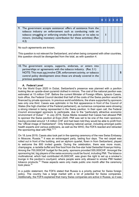9. The government accepts assistance/ offers of assistance from the tobacco industry on enforcement such as conducting raids on tobacco smuggling or enforcing smoke free policies or no sales to minors. (including monetary contribution for these activities) (Rec 4.3)

**1**

No such agreements are known.

This question is not relevant for Switzerland, and when being compared with other countries, this question should be disregarded from the total, as with question 4.

| 10. The government accepts, supports, endorses, or enters into    |  |  |  |
|-------------------------------------------------------------------|--|--|--|
| partnerships or agreements with the tobacco industry. (Rec 3.1)   |  |  |  |
| NOTE: This must not involve CSR, enforcement activity, or tobacco |  |  |  |
| control policy development since these are already covered in the |  |  |  |
| previous questions.                                               |  |  |  |

#### **A. Federal Level**

For the World Expo 2020 in Dubai, Switzerland's presence was planned with a pavilion looking like an upside-down pyramid clothed in mirrors. The cost of the national pavilion was estimated at 15 million CHF. Before the current Minister of Foreign Affairs, Ignacio Cassis, took office, the Federal Council decided that half of the costs of the Swiss pavilion would be financed by private sponsors. In previous world exhibitions, the share supported by sponsors was only one third. Cassis was optimistic in his first appearance in front of the Council of States (the high chamber of the Federal parliament), as numerous companies were showing a strong interest in being represented in the Swiss pavilion. In their open call, the Federal Council encouraged sponsors to participate, due to the "particularly attractive economic environment of Dubai".<sup>71</sup> In July 2019, Swiss Media revealed that Cassis had allowed PMI to sponsor the Swiss pavilion at Expo 2020. PMI was set to be one of the main sponsors, having provided around 1,8 million CHF and had been told they would be able to profit from the "official image of Switzerland''. Only following national uproar, including amongst public health experts and various politicians, as well as the WHO, the FDFA reacted and retracted the sponsoring deal with PMI.<sup>7273</sup>

On 18 June 2019, Cassis also took part in the opening ceremony of the new Swiss Embassy in Moscow, Russia.<sup>74</sup> It was an extravagant party, lasting four days. The red carpet was rolled out in front of the building, and an alphorn quartet, flown in from Switzerland, played to welcome the 800 invited guests. During the celebration, there was more music, champagne, a raclette buffet and fine food from the five-star hotel Swissôtel Krasnye Holmy. Among the 700,000CHF budget for the party, sponsors provided 555,000CHF. Amongst the sponsoring list, big players of the swiss economy could be found, including PMI. The tobacco multinational, which had contributed 45,000CHF, was given the right to set up a smoker's lounge in the pavilion's courtyard, where people were only allowed to smoke PMI heated tobacco products.<sup>75</sup> These aspects were only made public one month after the ceremony took place. 76

In a public statement, the FDFA stated that Russia is a priority partner for Swiss foreign policy. The country has a large market with a lot of potential for Swiss companies. Additionally, the FDFA explained that many Swiss companies are active in Russia, so it was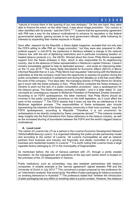"natural to involve them in the opening of our new embassy." On the one hand, they were able to finance the event, on the other hand, it was about image promotion. "Our country is often identified with its brands," said the FDFA.<sup>7677</sup> It seems that the sponsorship agreement with PMI was a way for the tobacco multinational to enhance its reputation in the federal governmental sphere, gaining access to top level government officials, while furthering its interests by expanding their market exposure in Russia.

Soon after, research by the Republik, a Swiss digital magazine, revealed that not only was the FDFA willing to offer PMI an "image promotion," but they were also prepared to offer political support. In mid-2019, the parliament in Moldova initiated a change to the national tobacco law, with the aim of tightening restrictions and in particular increasing taxation on heated tobacco products (i.e., the IQOS). Worried about this move, Philip Morris requested support from the Swiss embassy in Kiev, which is also responsible for its neighbouring country, due to the absence of Swiss representation in Moldova's capital Chisinau. Cassis's ministry immediately agreed to help its dedicated sponsor – and wrote an intervening letter on the 13 July 2019.<sup>75</sup> The Swiss State Secretariat for Economic Affairs (SECO) in Berne informed Republik that on 4 July, Philip Morris had requested "intervening with the Moldovan authorities so that the company could have the opportunity to express its position during the public consultation procedure in parliament and during the debates on a bill that could affect the work of the company." Five days later, the managing director of Philip Morris for Ukraine got in touch with the Swiss embassy in Kiev. "Philip Morris contacted the Swiss embassy in Ukraine to point out the lack of a public consultation procedure," says a spokesperson for the tobacco group. The Swiss embassy promptly complied – and in a letter dated 13. July conveyed an unambiguous request to Moldovan President of Parliament Zinaida Greceanii. According to an FDFA spokesperson, the letter mentions "that Philip Morris should be involved in the public consultation procedure on the draft legislation, as it could affect the work of the company".<sup>75</sup> The FDFA asserts that it does not see this as interference in the Moldovan legislative process. "The responsibilities of Swiss embassies also include representing the interests of the Swiss business community in their host countries," says the FDFA spokesperson, according to Republik. "Therefore, it is not uncommon for ambassadors to be directly contacted by Swiss companies abroad".<sup>75</sup> This instance reveals deep insights into the fluid transitions from Swiss diplomacy to the tobacco industry, as well as the increased blurring of boundaries between the FDFA and the world's biggest tobacco multinational.

#### **A. Local Level**

The canton of Lucerne has JTI as a partner in the Lucerne Economic Development Network (Wirtschaftsförderung Luzern). It is organised following the public-private partnership model and according to the canton of Lucerne, "all Lucerne municipalities as well as network partners from business and industry are financially and ideally committed to a growing business and residential location in Lucerne".<sup>78</sup> It is worth noting that Lucerne hosts a large cigarette factory belonging to JTI in the municipality of Dagmersellen.

As mentioned before, the city of Geneva partners with JTI, through a jointly created foundation, for the management and operations of the day-care centre which is located on the premises of the JTI headquarters in Geneva.

Public institutions, such as universities, may also establish partnerships with tobacco companies. A notable example is the "service agreement" signed between PMI and the University of Zurich in July 2013.<sup>79</sup> This concerned a project proposal by two professors for an "intervention analysis" that would study "the effect of plain packaging for tobacco products on smoking behaviours in Australia".<sup>80</sup> The professors stated that "whether the introduction of plain packaging has any effect on smoking rates is a priori unclear. However, the measure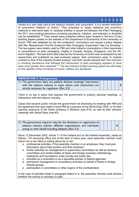comes at a very high cost to the tobacco industry and consumers. It is a severe restriction of consumers' freedom of choice." They proposed to "apply statistical and economic methods to real-world data" to "analyse whether a causal link between the Plain Packaging Act 2011 and smoking behaviour (smoking prevalence, initiation, and intensity) in Australia can be established". $80^\circ$  Their results were published without peer reviews in the form of two working papers posted on the website of the Department of Economics of the University of Zurich. PMI was delighted by the two professors' conclusions and issued a press release with title "Researchers Find No Evidence Plain Packaging 'Experiment' Has Cut Smoking". The two papers were widely used by PMI and other tobacco corporations in their responses to consultations on plain packaging, notably in Canada, Norway, Singapore, and the UK, and in litigation. The real-world data used by the University of Zurich was re-analysed by two researchers and published as peer-reviewed papers: their conclusions were "in marked contrast to that of the industry-funded analysis" and their results showed that "the reduction in smoking prevalence that followed the introduction of plain packaging appears to have been even greater than expected".<sup>81</sup> The two industry-funded working papers are still today on the website of the University of Zurich, without any disclaimer.

| <b>INDICATOR 5: Transparency</b>                                     |  |  |  |
|----------------------------------------------------------------------|--|--|--|
| 11. The government does not publicly disclose meetings/ interactions |  |  |  |
| with the tobacco industry in cases where such interactions are       |  |  |  |
| strictly necessary for regulation. (Rec 2.2)                         |  |  |  |

There is no law in place that requires the government to publicly disclose meetings, or interactions with the tobacco industry.

Cases that became public include the government not disclosing its meeting with PMI and the agreement that was made to have PMI as a sponsor at the World Expo 2020, or for their opening ceremony of the Swiss embassy in Moskow (see #10), as well as their advisory meetings with SwissTabac (see #3).

| 12. The government requires rules for the disclosure or registration of |  |  |  |
|-------------------------------------------------------------------------|--|--|--|
| tobacco industry entities, affiliated organizations, and individuals    |  |  |  |
| acting on their behalf including lobbyists (Rec 5.3)                    |  |  |  |

Since 13 December 2002, Article 11 of the Federal Act on the Federal Assembly, reads as follows: "On assuming office and at the start of every year, each assembly member must inform his or her office in writing about his or her:

- a. professional activities; if the assembly member is an employee, they must give information about their position and their employer;
- b. further activities on management or supervisory committees as well as advisory committees and similar bodies of Swiss and foreign business undertakings, institutions and foundations under private and public law;
- c. activities as a consultant or as a specialist adviser to federal agencies;
- d. permanent management or consultancy activities on behalf of Swiss or foreign interest groups;
- e. participation in committees or other organs of the Confederation.

In the case of activities listed in paragraph letters b−e, the assembly member shall declare whether the activity is voluntary or paid.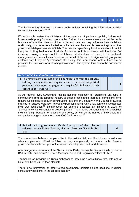The Parliamentary Services maintain a public register containing the information provided by assembly members."<sup>82-84</sup>

While this rule makes the affiliations of the members of parliament public, it does not, however exist purely for tobacco companies. Rather, it is a measure to ensure that the public is aware of how the interests of the parliament members may influence their decisions. Additionally, this measure is limited to parliament members and is does not apply to other governmental departments or officials. The rule also specifically lists the situations to which it applies, limiting itself to specific kinds of potential conflicts of interest, with loopholes. For instance, owning a large portfolio of tobacco stocks does not need to be declared; management and consultancy functions on behalf of Swiss or foreign interest groups are declared only if they are "permanent"; etc. Finally, this is an honour system: there are no penalties for omissions or misleading declarations. The system thus cannot be considered reliable.

#### **INDICATOR 6: Conflict of Interest**

| 13. The government does not prohibit contributions from the tobacco     |  |
|-------------------------------------------------------------------------|--|
| industry or any entity working to further its interests to political    |  |
| parties, candidates, or campaigns or to require full disclosure of such |  |
| contributions. (Rec 4.11)                                               |  |

**5**

**0 1 2 3 4 5**

At the federal level, Switzerland has no national legislation for prohibiting any type of contributions from the tobacco industry to political candidates, parties or campaigns, or to require full disclosure of such contributions. It is the only country in the Council of Europe that has not passed legislation to regulate political funding. Only a few cantons have adopted their own legislation.<sup>85</sup> Schaffhausen for example accepted an initiative in 2020 for "transparency in the financing of political parties." The initiative demands that parties publish their campaign budgets for elections and votes, as well as the names of individuals and companies that give them more than 3000 CHF per vear.<sup>86</sup>

14. Retired senior government officials form part of the tobacco industry (former Prime Minister, Minister, Attorney General) (Rec 4.4)

**4**

The connections between people active in the political field and the tobacco industry are often complex and difficult to follow, as they are generally not made public. Several government officials now part of the tobacco industry could be found, however.

A former general secretary of the Swiss Liberal Party, Christophe Berdat initially moved to BAT in 2002, and since 2016 he is Manager Public and Regulatory Affairs at PMI.<sup>87</sup>

Thomas Borer, previously a Swiss ambassador, now runs a consultancy firm, with one of his clients being Juu.<sup>[20</sup> (see also #1)

There is no information on other retired government officials holding positions, including consultancy positions, in the tobacco industry.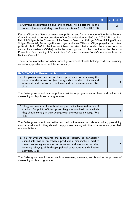| 15. Current government officials and relatives hold positions in the<br>tobacco business including consultancy positions. (Rec 4.5, 4.8, 4.10) |  |  |  |
|------------------------------------------------------------------------------------------------------------------------------------------------|--|--|--|

Kaspar Villiger is a Swiss businessman, politician and former member of the Swiss Federal Council, as well as former president of the Confederation in 1995 and 2002.<sup>88</sup> His brother, Heinrich Villiger, is the Chairman of the Board of Directors of Villiger Söhne Holding AG, and Villiger Söhne AG, Swiss cigarillo- and cigar producers. <sup>89</sup> Kaspar Villiger played an important political role in 2003 in the Law on tobacco taxation that extended the current tobacco subventions systems (SOTA), while he was opposed to the creation of the Tobacco Prevention Fund, calling it "a stupid fund" ("dieses dummen Fonds") in a speech to the National Council.<sup>90</sup>

There is no information on other current government officials holding positions, including consultancy positions, in the tobacco industry.

| <b>INDICATOR 7: Preventive Measures</b>                                                                                                                                                                              |  |  |  |
|----------------------------------------------------------------------------------------------------------------------------------------------------------------------------------------------------------------------|--|--|--|
| 16. The government has put in place a procedure for disclosing the<br>records of the interaction (such as agenda, attendees, minutes and<br>outcome) with the tobacco industry and its representatives. (Rec<br>5.1) |  |  |  |
|                                                                                                                                                                                                                      |  |  |  |

The Swiss government has not put any policies or programmes in place, and neither is it developing such policies or programmes.

| 17. The government has formulated, adopted or implemented a code of   |  |  |  |
|-----------------------------------------------------------------------|--|--|--|
| conduct for public officials, prescribing the standards with which    |  |  |  |
| they should comply in their dealings with the tobacco industry. (Rec) |  |  |  |
| 4.2)                                                                  |  |  |  |

The Swiss government has neither adopted or formulated a code of conduct, prescribing standards with which they should comply when dealing with the tobacco industry, or their representatives.

| 18. The government requires the tobacco industry to periodically        |  |  |  |
|-------------------------------------------------------------------------|--|--|--|
| submit information on tobacco production, manufacture, market           |  |  |  |
| share, marketing expenditures, revenues and any other activity,         |  |  |  |
| including lobbying, philanthropy, political contributions and all other |  |  |  |
| activities. (5.2)                                                       |  |  |  |

The Swiss government has no such requirement, measure, and is not in the process of developing such a programme.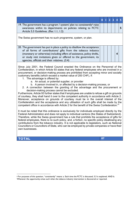|                                                                                                                                                                                                                                                                                                                                                                                                                                                                                                                                                                                                                                                                                                                                                                                                                                                                                                                                                                                                                                                                                                                                                                                                                                                                                                                                                                                                                                                                                                                                                                                                                                                                                                                                                                       | $\bf{0}$ | $\overline{2}$ | $\overline{\mathbf{3}}$ | $\overline{\mathbf{4}}$ | 5 <sup>1</sup> |
|-----------------------------------------------------------------------------------------------------------------------------------------------------------------------------------------------------------------------------------------------------------------------------------------------------------------------------------------------------------------------------------------------------------------------------------------------------------------------------------------------------------------------------------------------------------------------------------------------------------------------------------------------------------------------------------------------------------------------------------------------------------------------------------------------------------------------------------------------------------------------------------------------------------------------------------------------------------------------------------------------------------------------------------------------------------------------------------------------------------------------------------------------------------------------------------------------------------------------------------------------------------------------------------------------------------------------------------------------------------------------------------------------------------------------------------------------------------------------------------------------------------------------------------------------------------------------------------------------------------------------------------------------------------------------------------------------------------------------------------------------------------------------|----------|----------------|-------------------------|-------------------------|----------------|
| 19. The government has a program / system/ plan to consistently $s$ raise<br>awareness within its departments on policies relating to FCTC<br>Article 5.3 Guidelines. (Rec 1.1, 1.2)                                                                                                                                                                                                                                                                                                                                                                                                                                                                                                                                                                                                                                                                                                                                                                                                                                                                                                                                                                                                                                                                                                                                                                                                                                                                                                                                                                                                                                                                                                                                                                                  |          |                |                         |                         | 5              |
| The Swiss government has no such programme, system, or plan.                                                                                                                                                                                                                                                                                                                                                                                                                                                                                                                                                                                                                                                                                                                                                                                                                                                                                                                                                                                                                                                                                                                                                                                                                                                                                                                                                                                                                                                                                                                                                                                                                                                                                                          |          |                |                         |                         |                |
| 20. The government has put in place a policy to disallow the acceptance<br>of all forms of contributions/ gifts from the tobacco industry<br>(monetary or otherwise) including offers of assistance, policy drafts,<br>or study visit invitations given or offered to the government, its<br>agencies, officials and their relatives. (3.4)                                                                                                                                                                                                                                                                                                                                                                                                                                                                                                                                                                                                                                                                                                                                                                                                                                                                                                                                                                                                                                                                                                                                                                                                                                                                                                                                                                                                                           |          |                |                         | 4                       |                |
| Since July 2001, the Federal Council enacted the Ordinance on the Personnel of the<br>Confederation, in which Article 93 states that any federal employees who are involved in a<br>procurement, or decision-making process are prohibited from accepting minor and socially<br>customary benefits (which exceed a market value of 200 CHF), if:<br>1. The advantage is offered by:<br>a. An actual, or potential supplier, or provider<br>b. A person involved in, or affected by a decision-making process, or<br>2. A connection between the granting of the advantage and the procurement or<br>decision-making process cannot be excluded.<br>Furthermore, Article 93 further states that if employees are unable to refuse a gift on grounds<br>of courtesy, they shall hand it over to the competent authority in accordance with Article 2.<br>Moreover, acceptance on grounds of courtesy must be in the overall interest of the<br>Confederation and the acceptance and any utilisation of such gifts shall be made by the<br>competent office in accordance with Article 2 for the benefit of the Swiss Confederation. <sup>91</sup><br>It must be noted that this ordinance is exclusively for individuals employed directly by the<br>Federal Administration and does not apply to individual cantons (the States of Switzerland).<br>Therefore, while the Swiss government has a rule that prohibits the acceptance of gifts for<br>federal employees, there is no such policy, and, a fortiori, no specific policy disallowing any<br>contributions from the tobacco industry. It is not applicable to legislators, such as National<br>Councillors or Councillors of State, who can be employed by private companies or have their<br>own businesses. |          |                |                         |                         |                |
| <b>TOTAL</b>                                                                                                                                                                                                                                                                                                                                                                                                                                                                                                                                                                                                                                                                                                                                                                                                                                                                                                                                                                                                                                                                                                                                                                                                                                                                                                                                                                                                                                                                                                                                                                                                                                                                                                                                                          | 87       |                |                         |                         |                |

<sup>g</sup> For purposes of this question, "consistently" means: a. Each time the FCTC is discussed, 5.3 is explained. AND b. Whenever the opportunity arises such when the tobacco industry intervention is discovered or reported.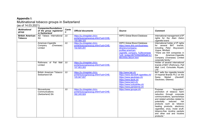#### **Appendix I:** Multinational tobacco groups in Switzerland (as of 14.03.2021)

*Multinational group Companies/foundations of the group registered in Switzerland Canto n Official documents Source Comment* **British American Tobacco** AD Tabacs International SA JU https://ju.chregister.ch/crportal/auszug/auszug.xhtml?uid=CHE-100.089.325 WIPO Global Brand Database International management of IP rights for the *Alain Delon* cigarette brand American-Cigarette Company (Overseas) Limited JU https://ju.chregister.ch/crportal/auszug/auszug.xhtml?uid=CHE-102.820.291 WIPO Global Brand Database https://www.dnb.com/businessdirectory/companyprofiles.americancigarette\_company\_%28overseas %29\_limited.897535fd098ffa961b1 88c000bc38cb4.html International holder of IP rights for several BAT brands, including *Peter Stuyvesant*, *Vogue*, *Winfield*. "There are 934 companies in the **American-Cigarette** Company (Overseas) Limited corporate family." Rothmans of Pall Mall Limited JU https://ju.chregister.ch/crportal/auszug/auszug.xhtml?uid=CHE-107.903.263 Holder of several international brands of BAT (*Rothmans, Pall Mall, Lord, Consulate, Royals, LR)* British American Tobacco Switzerland SA JU https://ju.chregister.ch/crportal/auszug/auszug.xhtml?uid=CHE-105.947.657 http://www.bat.ch/ https://www.davidoff-cigarettes.ch/ https://www.gauloises.ch/ https://www.epok.ch/ https://www.kent.ch/ https://www.luckystrike.ch/ https://www.parisienne.ch/ BAT sells the cigarette brands of Imperial Brands PLC on the Swiss Market (*Davidoff*, *Gauloises, Gitanes*) **Nicoventures Communications** (Switzerland) SA JU https://ju.chregister.ch/crportal/auszug/auszug.xhtml?uid=CHE-392.245.924 https://www.govype.ch/ **Purpose:** "Acquisition, promotion of tobacco harm reduction through corporate communications, sponsorships and related activities related to potentially reduced risk products such as tobacco heating products, electronic cigarettes, snus, moist snuff, tobacco-free nicotine packets and other oral and nicotine products."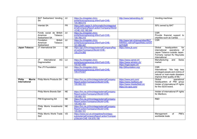|                                                 | <b>BAT Switzerland Vending</b><br><b>SA</b>                       | JU                                   | https://ju.chregister.ch/cr-<br>portal/auszug/auszug.xhtml?uid=CHE-<br>105.969.015                               | http://www.batvending.ch/                                                                                | Vending machines                                                                                                                                                |
|-------------------------------------------------|-------------------------------------------------------------------|--------------------------------------|------------------------------------------------------------------------------------------------------------------|----------------------------------------------------------------------------------------------------------|-----------------------------------------------------------------------------------------------------------------------------------------------------------------|
|                                                 | Intertab SA                                                       | <b>FR</b>                            | https://adm.appls.fr.ch/hrcmatic/hrcintapp/ext<br>ernalCompanyReport.action?companyOfsUid<br>$=$ CHE-102.190.544 |                                                                                                          | 50% owned by BAT                                                                                                                                                |
|                                                 | Fonds social de British<br>American<br>Tobacco<br>Switzerland SA  | JU                                   | https://ju.chregister.ch/cr-<br>portal/auszug/auszug.xhtml?uid=CHE-<br>109.766.310                               |                                                                                                          | <b>CSR</b><br>Provide financial support to<br>charities such as Caritas                                                                                         |
|                                                 | <b>British</b><br>Fondation<br>American<br>Tobacco<br>Switzerland | $\overline{\mathsf{J}\mathsf{U}}$    | https://ju.chregister.ch/cr-<br>portal/auszug/auszug.xhtml?uid=CHE-<br>101.950.347                               | http://www.bat.ch/group/sites/BAT<br>A4KKEC.nsf/vwPagesWebLive/DO<br><b>A2THQR</b>                       | $\overline{\text{CSR}}$                                                                                                                                         |
| Japan Tobacco                                   | JT International SA                                               | <b>GE</b>                            | https://ge.ch/hrcintapp/externalCompanyRep<br>ort.action?companyOfsUid=CHE-<br>105.274.060                       | https://www.jti.com/                                                                                     | Global<br>headquarters<br>for<br>international operations<br>of<br>Japan Tobacco outside Japan.<br>Formerly named RJ Reynolds<br>International                  |
|                                                 | International<br>AG<br>JT.<br>Dagmersellen                        | LU                                   | https://lu.chregister.ch/cr-<br>portal/auszug/auszug.xhtml?uid=CHE-<br>105.927.695                               | https://www.camel.ch/<br>https://www.winston.ch/<br>https://logicvapes.ch/                               | Manufacturing<br>and<br>Swiss<br>market                                                                                                                         |
|                                                 | The JTI Foundation                                                | $\overline{\overline{\overline{U}}}$ | https://lu.chregister.ch/cr-<br>portal/auszug/auszug.xhtml?uid=CHE-<br>109.479.827                               | http://jtifoundation.org/                                                                                | $\overline{\text{CSR}}$<br>International. "We help less<br>privileged people and victims of<br>natural or man-made disasters<br>improve their quality of life." |
| Philip<br><b>Morris</b><br><b>International</b> | <b>Philip Morris Products SA</b>                                  | <b>NE</b>                            | https://hrc.ne.ch/hrcintapp/externalCompany<br>Report.action?companyOfsUid=CHE-<br>105.950.151                   | https://www.pmi.com/<br>https://www.marlboro.ch/<br>https://www.chesterfield.ch/<br>https://ch.iqos.com/ | Global<br>operational<br>headquarters of PMI group<br>Holder of international IP rights<br>for the IQOS brand.                                                  |
|                                                 | Philip Morris Brands Sàrl                                         | NE                                   | https://hrc.ne.ch/hrcintapp/externalCompany<br>Report.action?companyOfsUid=CHE-<br>105.950.151                   |                                                                                                          | Holder of international IP rights<br>for Marlboro.                                                                                                              |
|                                                 | <b>PMI Engineering SA</b>                                         | N <sub>E</sub>                       | https://hrc.ne.ch/hrcintapp/externalCompany<br>Report.action?companyOfsUid=CHE-<br>105.950.151                   |                                                                                                          | R&D                                                                                                                                                             |
|                                                 | Philip Morris Investments<br>Sàrl                                 | NE                                   | https://hrc.ne.ch/hrcintapp/externalCompany<br>Report.action?companyOfsUid=CHE-<br>105.950.151                   |                                                                                                          |                                                                                                                                                                 |
|                                                 | Philip Morris World Trade<br>Sàrl                                 | $\overline{VD}$                      | https://www.rc2.vd.ch/registres/hrcintapp-<br>pub/externalCompanyReport.action?compan<br>vOfsUid=CHE-104.878.195 |                                                                                                          | PMI's<br>Management<br>of<br>worldwide trade                                                                                                                    |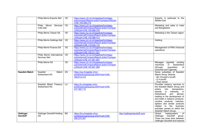|                                     | Philip Morris Exports Sàrl                   | VD                                   | https://www.rc2.vd.ch/registres/hrcintapp-<br>pub/companyReport.action?companyOfsUid=<br>CHE-109.598.219         |                               | Exports, in particular to the<br><b>Middle East</b>                                                                                                                                                                                                                                                                                                                                                      |
|-------------------------------------|----------------------------------------------|--------------------------------------|------------------------------------------------------------------------------------------------------------------|-------------------------------|----------------------------------------------------------------------------------------------------------------------------------------------------------------------------------------------------------------------------------------------------------------------------------------------------------------------------------------------------------------------------------------------------------|
|                                     | Philip Morris<br>Services<br>India Sàrl      | $\overline{VD}$                      | https://www.rc2.vd.ch/registres/hrcintapp-<br>pub/externalCompanyReport.action?compan<br>yOfsUid=CHE-100.988.376 |                               | Marketing and sales to India<br>and Bangladesh                                                                                                                                                                                                                                                                                                                                                           |
|                                     | Philip Morris Taiwan SA                      | $\overline{VD}$                      | https://www.rc2.vd.ch/registres/hrcintapp-<br>pub/externalCompanyReport.action?compan<br>yOfsUid=CHE-100.988.413 |                               | Marketing in the Taiwan region                                                                                                                                                                                                                                                                                                                                                                           |
|                                     | Philip Morris Holdings Sàrl                  | VD                                   | https://www.rc2.vd.ch/registres/hrcintapp-<br>pub/externalCompanyReport.action?compan<br>vOfsUid=CHE-110.032.114 |                               | Holding                                                                                                                                                                                                                                                                                                                                                                                                  |
|                                     | Philip Morris Finance SA                     | $\overline{VD}$                      | https://www.rc2.vd.ch/registres/hrcintapp-<br>pub/externalCompanyReport.action?compan<br>yOfsUid=CHE-105.511.521 |                               | Management of PMI's financial<br>operations                                                                                                                                                                                                                                                                                                                                                              |
|                                     | Philip Morris International<br>Services Sàrl | $\overline{VD}$                      | https://www.rc2.vd.ch/registres/hrcintapp-<br>pub/externalCompanyReport.action?compan<br>vOfsUid=CHE-101.851.857 |                               |                                                                                                                                                                                                                                                                                                                                                                                                          |
|                                     | <b>Philip Morris SA</b>                      | VD                                   | https://www.rc2.vd.ch/registres/hrcintapp-<br>pub/externalCompanyReport.action?compan<br>vOfsUid=CHE-105.901.856 |                               | Manages cigarette vending<br>Switzerland<br>machines<br>in<br>acquisition<br>of<br>(through<br>Uniromat and Cigomat)                                                                                                                                                                                                                                                                                     |
| <b>Swedish Match</b>                | Swedish<br>Match<br>Switzerland AG           | ZG                                   | https://zg.chregister.ch/cr-<br>portal/auszug/auszug.xhtml?uid=CHE-<br>308.614.414                               |                               | Swiss subsidiary of Swedish<br>Match Group. Brands:<br>- Mc Chrystal's (snuff)<br>$-G.4$ (snuff)<br>- Onyx (snus)                                                                                                                                                                                                                                                                                        |
|                                     | Swedish Match Treasury<br>Switzerland AG     | $\overline{\overline{\overline{C}}}$ | https://lu.chreqister.ch/cr-<br>portal/auszug/auszug.xhtml?uid=CHE-<br>237.460.710                               |                               | Provides treasury services to<br>the Swedish Match Group and<br>enters<br>into<br>transactions,<br>directly<br>or<br>indirectly,<br>in in<br>Switzerland<br>and<br>abroad,<br>relating to the development of<br>and trade in tobacco products,<br>nicotine products, matches,<br>lighters and similar products<br>related to the<br>business<br>activities carried on within the<br>Swedish Match Group. |
| <b>Oettinger</b><br><b>Davidoff</b> | Oettinger Davidoff Holding<br>AG             | <b>BS</b>                            | https://bs.chregister.ch/cr-<br>portal/auszug/auszug.xhtml?uid=CHE-<br>295.274.347                               | http://oettingerdavidoff.com/ | of<br>Global<br>headquarters<br>Oettinger Davidoff<br>group.<br>There are close links between<br>Oettinger Davidoff and Imperial                                                                                                                                                                                                                                                                         |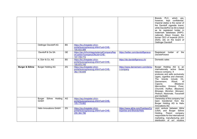|                |                                 |           |                                                                                            |                                                                | which<br>Brands PLC,<br>are,<br>however, kept confidential.<br>Imperial states is the owner of<br>the Davidoff cigarette brand,<br>while Davidoff & Cie SA is listed<br>as its registered holder in<br>trademark databases (WIPO,<br>national). Alison Cooper, the<br>former CEO of Imperial (2010-<br>2020), sits on the board of<br>Oettinger Davidoff.                                  |
|----------------|---------------------------------|-----------|--------------------------------------------------------------------------------------------|----------------------------------------------------------------|--------------------------------------------------------------------------------------------------------------------------------------------------------------------------------------------------------------------------------------------------------------------------------------------------------------------------------------------------------------------------------------------|
|                | Oettinger Davidoff AG           | <b>BS</b> | https://bs.chregister.ch/cr-<br>portal/auszug/auszug.xhtml?uid=CHE-<br>105.933.589         |                                                                |                                                                                                                                                                                                                                                                                                                                                                                            |
|                | Davidoff & Cie SA               | GE        | https://ge.ch/hrcintapp/externalCompanyRep<br>ort.action?companyOfsUid=CHE-<br>107.749.772 | https://twitter.com/davidoffgeneva                             | Registered holder of the<br>Davidoff brand                                                                                                                                                                                                                                                                                                                                                 |
|                | A. Dürr & Co. AG                | <b>BS</b> | https://bs.chreqister.ch/cr-<br>portal/auszug/auszug.xhtml?uid=CHE-<br>105.970.745         | https://de.davidoffgeneva.ch/                                  | Domestic sales                                                                                                                                                                                                                                                                                                                                                                             |
| Burger & Söhne | <b>Burger Holding AG</b>        | ZG        | https://zg.chregister.ch/cr-<br>portal/auszug/auszug.xhtml?uid=CHE-<br>362.735.649         | https://www.dannemann.com/de/ou<br>r-company                   | Burger Holding AG is an<br>internationally active Swiss<br>tobacco company. It<br>produces and sells exclusively<br>cigars, cigarillos and cheroots.<br>The brands include<br>On,<br>Dannemann,<br>Rössli,<br>Al<br>Weekend,<br>Capone,<br>Meccarillos, Ormond, Fivaz,<br>Churchill, Huifkar, Blauband,<br>Brissago, Bündner, Monopol,<br>Pedroni, Nazionale, Toscanelli<br>and Garibaldi. |
|                | Söhne Holding<br>Burger<br>GmbH | AG        | https://ag.chregister.ch/cr-<br>portal/auszug/auszug.xhtml?uid=CHE-<br>105.778.662         |                                                                | Ownership of this company has<br>been transferred from the<br>Burger Holding AG to Helix<br>Innovations AG                                                                                                                                                                                                                                                                                 |
|                | <b>Helix Innovations GmbH</b>   | ZG        | https://zg.chregister.ch/cr-<br>portal/auszug/auszug.xhtml?uid=CHE-<br>295.384.786         | https://www.altria.com/Overlays/Co<br>mpanies-and-Brands/Helix | Joint venture between Altria<br>(USA) and Burger Söhne<br>Holding. Parent company<br>responsible for the international<br>marketing, manufacturing and<br>distribution of on! nicotine                                                                                                                                                                                                     |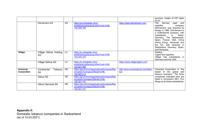|                                 |                                     |           |                                                                                            |                                          | pouches. Holder of IOP rights<br>of on!                                                                                                                                                                                                                                                                                                                           |
|---------------------------------|-------------------------------------|-----------|--------------------------------------------------------------------------------------------|------------------------------------------|-------------------------------------------------------------------------------------------------------------------------------------------------------------------------------------------------------------------------------------------------------------------------------------------------------------------------------------------------------------------|
|                                 | Dannemann AG                        | ZG        | https://zg.chregister.ch/cr-<br>portal/auszug/auszug.xhtml?uid=CHE-<br>102.359.180         | https://www.dannemann.com                | <b>The</b><br>German<br>cigar<br>and<br>cigarillos<br>company<br>Dannemann was acquired by<br>Burger in 1988. Dannemann is<br>a multinational company, with<br>Brasil,<br>subsidiaries<br>in<br>Germany, The Netherlands,<br>Spain, France, USA, China<br>(Hong Kong), Honduras and<br>the UK, with factories in<br>Switzerland, Germany, Spain,<br>and Honduras. |
| Villiger                        | Villiger Söhne Holding   LU<br>AG.  |           | https://lu.chregister.ch/cr-<br>portal/auszug/auszug.xhtml?uid=CHE-<br>103.544.372         |                                          | Holding<br>Cigars and cigarillos<br>Villiger has subsidiaries in<br>Germany and the USA                                                                                                                                                                                                                                                                           |
|                                 | Villiger Söhne AG                   | LU        | https://lu.chregister.ch/cr-<br>portal/auszug/auszug.xhtml?uid=CHE-<br>105.927.488         | https://www.villigercigars.com/          |                                                                                                                                                                                                                                                                                                                                                                   |
| <b>Universal</b><br>Corporation | Continental<br>Tobacco<br><b>SA</b> | <b>GE</b> | https://ge.ch/hrcintapp/externalCompanyRep<br>ort.action?companyOfsUid=CHE-<br>102.565.213 | http://www.universalcorp.com/Abou<br>tUs | Universal Corporation is "the<br>leader in the global<br>leaf<br>tobacco business." The three                                                                                                                                                                                                                                                                     |
|                                 | <b>Ultoco SA</b>                    | <b>GE</b> | https://ge.ch/hrcintapp/externalCompanyRep<br>ort.action?companyOfsUid=CHE-<br>102.321.131 |                                          | companies indicated here are<br>listed in Universal's SEC 10-k<br>filings as its Swiss subsidiaries.                                                                                                                                                                                                                                                              |
|                                 | <b>Ultoco Services SA</b>           | <b>GE</b> | https://ge.ch/hrcintapp/externalCompanyRep<br>ort.action?companyOfsUid=CHE-<br>102.321.131 |                                          |                                                                                                                                                                                                                                                                                                                                                                   |

**Appendix II:** Domestic tobacco companies in Switzerland (as of 14.03.2021)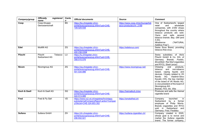| Company/group  | registered<br><b>Officially</b><br>name | Canto<br>$\mathbf n$   | <b>Official documents</b>                                                                                        | <b>Source</b>                                               | <b>Comment</b>                                                                                                                                                                                                                                                                                                 |
|----------------|-----------------------------------------|------------------------|------------------------------------------------------------------------------------------------------------------|-------------------------------------------------------------|----------------------------------------------------------------------------------------------------------------------------------------------------------------------------------------------------------------------------------------------------------------------------------------------------------------|
| Coop           | Coop-Gruppe<br>Genossenschaft           | <b>BS</b>              | https://bs.chregister.ch/cr-<br>portal/auszug/auszug.xhtml?uid=CHE-<br>109.029.938                               | https://www.coop.ch/en/lounge/tob<br>acco-products/c/m 2199 | One of Switzerland's largest<br>retail<br>and<br>wholesale<br>companies, with 2'250 shops<br>throughout the country where<br>tobacco products are sold.<br>Owns and sells several<br>tobacco brands: Bay, GM (and<br>$5.50$ ),<br>("NATURAL<br><b>Mirabienne</b><br>Additive Free").                           |
| Edel           | <b>Multifill AG</b>                     | ZG                     | https://zq.chreqister.ch/cr-<br>portal/auszug/auszug.xhtml?uid=CHE-<br>400.238.035#                              | https://edelsnus.com/                                       | Swiss Snus Brand, providing<br>tobacco-free snus.                                                                                                                                                                                                                                                              |
| Pöschl         | Pöschl<br>Tobacco<br>Switzerland AG     |                        | https://lu.chregister.ch/cr-<br>portal/auszug/auszug.xhtml?uid=CHE-<br>358.515.576                               |                                                             | Swiss subsidiary of Aloïs<br>Pöschl GmbH & Co. KG, of<br>Germany. Brands: Pueblo,<br>Brookfield, Red Bull (cigarettes<br>and RYO), Slash (snus)                                                                                                                                                                |
| <b>Nicom</b>   | Nicomgroup AG                           | ZG                     | https://zg.chregister.ch/cr-<br>portal/auszug/auszug.xhtml?uid=CHE-<br>401.534.996                               | https://www.nicomgroup.net/                                 | Chewing<br>oral<br>products,<br>tobacco<br>and<br>non-tobacco<br>based, vaping<br>liquids and<br>devices. Closely related to VK<br>Nordic AG. Vladimir-Silvo<br>Kavalic (VK), the key member<br>of the board of VK Nordic AG,<br>is vice-president of the board of<br>Nicomgroup AG.<br>Brands: FX3, Ink, Vika |
| Koch & Gsell   | Koch & Gsell AG                         | $\overline{\text{SG}}$ | https://sg.chregister.ch/cr-<br>portal/auszug/auszug.xhtml?uid=CHE-<br>422.513.089                               | https://heimatkult.ch/en                                    | Produces and sells the Heimat<br>cigarette brand                                                                                                                                                                                                                                                               |
| Fred           | Fred & Fly Sàrl                         | <b>VD</b>              | https://www.rc2.vd.ch/registres/hrcintapp-<br>pub/externalCompanyReport.action?compan<br>yOfsUid=CHE-324.853.302 | https://smokefred.ch/                                       | launched<br>Company<br>in<br>Switzerland<br>by a former<br>employee of Philip Morris.<br>Brands (cigarettes and RYO)<br>sold in Switzerland<br>and<br>Germany: Fred, Freddies                                                                                                                                  |
| <b>Sullana</b> | Sullana GmbH                            | ZH                     | https://zh.chregister.ch/cr-<br>portal/auszug/auszug.xhtml?uid=CHE-<br>206.932.021                               | https://sullana-cigaretten.ch/                              | Company created in 2020,<br>whose goal is to revive and<br>market the Sullana cigarette<br>brand. The former company,                                                                                                                                                                                          |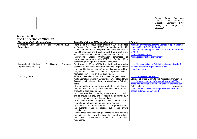|  |  | Sullana     | Tabac | SA      | was       |
|--|--|-------------|-------|---------|-----------|
|  |  | acquired    | bv    |         | American- |
|  |  | Cigarette   |       | Company | (BAT)     |
|  |  | through     | a     | merger  | on        |
|  |  | 08.09.2011. |       |         |           |

#### **Appendix III:**

TOBACCO FRONT GROUPS

| <b>Tobacco Industry Representative</b>                        | Type (Front Group/ Affiliate/ Individual)                    | <b>Source</b>                                             |
|---------------------------------------------------------------|--------------------------------------------------------------|-----------------------------------------------------------|
| Eliminating Child Labour in Tobacco-Growing (ECLT)            | Front group. Swiss foundation created in 2001 and based      | https://ge.ch/hrcintapp/externalCompanyReport.action?c    |
| Foundation                                                    | in Geneva. Switzerland. ECLT is a member of the UN           | ompanyOfsUid=CHE-109.569.011                              |
|                                                               | Global Compact and holds special consultative status with    | https://ge.ch/hrcintapp/rdfisFile?id=14073632200000066    |
|                                                               | the UN Economic and Social Council. It is a front group      | 031012                                                    |
|                                                               | which the tobacco industry fully finances and controls. The  | https://www.eclt.org/en                                   |
|                                                               | International Labour Organization terminated all             | https://tobaccotactics.org/wiki/eclt/                     |
|                                                               | partnership agreement with ECLT in October 2019,             |                                                           |
|                                                               | considering it was part of the tobacco industry.             |                                                           |
| International<br>Nicotine<br><b>Network</b><br>Consumer<br>of | Front group. In 2019, INNCO described itself as a global     | https://tobaccotactics.org/wiki/international-network-of- |
| Organisations (INNCO)                                         | coalition of non-profit consumer advocate organisations      | nicotine-consumer-organisations-inncol                    |
|                                                               | and stated that its aim was to "represent consumers of low-  | https://innco.org/                                        |
|                                                               | risk, alternative nicotine products and to promote tobacco   |                                                           |
|                                                               | harm reduction (THR) on the global stage".                   |                                                           |
| <b>Swiss Cigarette</b>                                        | Affiliate. Association of the three largest tobacco          | http://www.swiss-cigarette.ch/                            |
|                                                               | multinationals operating in Switzerland (BAT, JTI and PMI).  | Statutes of Swiss Cigarette with Arbitration Convention:  |
|                                                               | According to its statutes, the association has the following | https://www.oxysuisse.ch/files/public/docs/20090701-      |
|                                                               | goals:                                                       | swiss-cigarette-statuts-avec-convention-d'arbitrage.pdf   |
|                                                               | a) to defend its members' rights and interests in the free   | Self-regulation<br>agreement:                             |
|                                                               | manufacture, marketing and communication of their            | https://www.oxysuisse.ch/files/public/docs/20180201-      |
|                                                               | products to adult consumers;                                 | accord-autoreglementation.pdf                             |
|                                                               | b) to draw up rules concerning advertising and promotion     |                                                           |
|                                                               | and to ensure that they are respected by its members, in     |                                                           |
|                                                               | order to promote responsible marketing;                      |                                                           |
|                                                               | c) to initiate and/or support initiatives aimed at the       |                                                           |
|                                                               | prevention of tobacco use among young people;                |                                                           |
|                                                               | d) to act on behalf of its members as a representative to    |                                                           |
|                                                               | the authorities and to national public and private           |                                                           |
|                                                               | organisations.                                               |                                                           |
|                                                               | One of association's main purposes is to promote voluntary   |                                                           |
|                                                               | regulations, notably of advertising, to prevent legislation  |                                                           |
|                                                               | implements strict, FCTC-compatible<br>would<br>that          |                                                           |
|                                                               | regulations.                                                 |                                                           |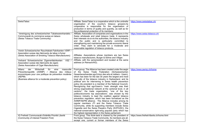| SwissTabac                                                                                                                                                                                                                                                                                                            | Affiliate. SwissTabac is a cooperative which is the umbrella<br>organisation of the country's tobacco growers.he<br>cooperative is responsible for the organisation of<br>production in terms of quality and quantity, as well as for<br>the professional protection of its members.                                                                                                                                                                                                                                                                                                                                                                                                                                                                                                                                                                                                                                                                                                                                                                                                                                                     | https://www.swisstabac.ch/                |
|-----------------------------------------------------------------------------------------------------------------------------------------------------------------------------------------------------------------------------------------------------------------------------------------------------------------------|------------------------------------------------------------------------------------------------------------------------------------------------------------------------------------------------------------------------------------------------------------------------------------------------------------------------------------------------------------------------------------------------------------------------------------------------------------------------------------------------------------------------------------------------------------------------------------------------------------------------------------------------------------------------------------------------------------------------------------------------------------------------------------------------------------------------------------------------------------------------------------------------------------------------------------------------------------------------------------------------------------------------------------------------------------------------------------------------------------------------------------------|-------------------------------------------|
| Vereinigung des schweizerischen Tabakwarenhandels<br>Communauté du commerce suisse en tabacs<br>(Swiss Tobacco Trade Community)                                                                                                                                                                                       | Affiliate. Association of companies and organisations in the<br>Swiss wholesale and retail tobacco trade. It represents<br>their interests vis-à-vis the authorities, the tobacco industry<br>and the public and is particularly committed to<br>strengthening and maintaining the private economic liberal<br>order. They claim to advocate for a moderate and<br>reasonable regulation of tobacco products.                                                                                                                                                                                                                                                                                                                                                                                                                                                                                                                                                                                                                                                                                                                            | https://www.swiss-tobacco.ch/             |
| Verein Schweizerischer Rauchtabak-Fabrikanten VSRF /<br>Association suisse des fabricants de tabac à fumer<br>(Swiss Association of Smoking Tobacco Manufacturers)<br>VSZ<br>Verband Schweizerischer Zigarrenfabrikanten<br>Association suisse des fabricants de cigars<br>(Swiss Association of Cigar Manufacturers) | Affiliates. Associations whose members are two Swiss<br>tobacco manufacturers, Burger & Söhne and Villiger.<br>Affiliate, with the sampresident and located at the same<br>address (in Reinach/AG).                                                                                                                                                                                                                                                                                                                                                                                                                                                                                                                                                                                                                                                                                                                                                                                                                                                                                                                                      |                                           |
| Wirtschaft<br>Allianz<br>für<br>der<br>eine<br>massvolle<br>Präventionspolitik (AWMP) / Alliance des milieux<br>économiques pour une politique de prévention modérée<br>(AEPM)<br>(Business alliance for a moderate prevention policy)                                                                                | Front group. The Alliance has been created under the aegis<br>of the Swiss Trade Federation (Schweizerischen<br>Gewerbeverbandes sgv/Union des arts et métiers - Usam),<br>which has been for the last 30 years the largest and most<br>loyal ally of the tobacco industry in Switzerland, and its<br>political arm for intervening in Swiss health prevention<br>policy (its president is a member of the National Council).<br>Recognizing that sgv/Usam's "main strength was their<br>strong organizational network at the cantonal level, in all<br>cantons", the trade organization, "one of the key<br>politico/economic top associations", was chosen by the<br>tobacco industry to lead the coalition against tobacco<br>prevention regulation, which has been formalized as the<br>AWMP/AEPM alliance. The Alliance includes among its<br>regular members JTI and the Swiss Tobacco Trade<br>Community, while its supporting members include Swiss<br>Cigarette and the Swiss People's Party (SVP/UDC), the<br>national-conservative right-wing populist party which has<br>the highest representation in the Swiss parliament. | https://www.awmp.ch/home                  |
| IG Freiheit/ Communauté d'intérêts Priorité Liberté<br>(Community of interest Freedom First)                                                                                                                                                                                                                          | Front group. This think-tank is chaired by the president of<br>the Swiss Tobacco Trade Community. Its members are all,<br>except one, current or former members of the Swiss                                                                                                                                                                                                                                                                                                                                                                                                                                                                                                                                                                                                                                                                                                                                                                                                                                                                                                                                                             | https://www.freiheit-liberte.ch/home.html |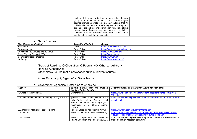| parliament. It presents itself as "a non-partisan interest<br>group [that] wants to defend citizens' freedom rights<br>against increasing state paternalism." Adding that "It<br>publicly denounces the state's regulatory frenzy and<br>appeals to the self-responsibility of each individual. It fights<br>the enactment of unnecessary laws, bans and regulations<br>- at national, cantonal and local level." And, as such, serves |  |
|----------------------------------------------------------------------------------------------------------------------------------------------------------------------------------------------------------------------------------------------------------------------------------------------------------------------------------------------------------------------------------------------------------------------------------------|--|
| well the interests of the tobacco industry.                                                                                                                                                                                                                                                                                                                                                                                            |  |

#### a. News Sources

| Top Newspaper/Dailies*               | Type (Print/Online) | Source                          |
|--------------------------------------|---------------------|---------------------------------|
| Swiss Info                           | Online              | https://www.swissinfo.ch/eng    |
| Tagesanzeiger                        | Print+Online        | https://www.aargauerzeitung.ch/ |
| 20 Minuten, 20 Minutes and 20 Minuti | Print+Online        | https://www.20min.ch/           |
| Neue Zürcher Zeitung (NZZ)           | Print+Online        | https://www.nzz.ch/             |
| Schweizer Radio Fernsehen            | Print+Online        | https://www.srf.ch/             |
| Le Temps                             | Print+Online        | https://www.letemps.ch/         |

\*Basis of Ranking: O Circulation O Popularity **X Others**: \_Arbitrary\_ Ranking Authority/ies:

Other News Source (not a newspaper but is a relevant source)

Argus Data Insight, Digest of all Swiss Media

b. Government Agencies (Refer also to Annex A)

| Agency                                              |                                        | Specify if more than one office is   General Sources of Information/ News for each office |  |
|-----------------------------------------------------|----------------------------------------|-------------------------------------------------------------------------------------------|--|
|                                                     | involved in this function:             |                                                                                           |  |
| 1. Office of the President)                         | <b>Guy Parmelin</b>                    | https://www.admin.ch/gov/en/start/federal-presidency/presidential-year-                   |  |
|                                                     |                                        | 2021.html                                                                                 |  |
| 2. Cabinet and/or National Assembly (Policy makers) | Ignazio Cassis, Alain Berset, Karin    | https://www.admin.ch/gov/en/start/federal-council/members-of-the-federal-                 |  |
|                                                     | Keller-Sutter, Viola Amherd,<br>Ueli I | council.html                                                                              |  |
|                                                     | Maurer, Simonetta Sommaruga (each      |                                                                                           |  |
|                                                     | responsible for a different agency     |                                                                                           |  |
|                                                     | domain)                                |                                                                                           |  |
| 3. Agriculture / National Tobacco Board             | Federal Office for Agriculture (FOAG)  | https://www.blw.admin.ch/blw/en/home.html                                                 |  |
| 4. Customs                                          | Federal Customs Administration (FCA)   | https://www.ezv.admin.ch/ezv/fr/home/infos-pour-entreprises/impots-et-                    |  |
|                                                     |                                        | redevances/importation-en-suisse/impot-sur-le-tabac.html                                  |  |
| 5. Education                                        | Federal<br>Economic<br>Department of   | https://www.admin.ch/gov/en/start/departments/department-of-economic-                     |  |
|                                                     | Affairs, Education and Research (EAER) | affairs-education-research-eaer.html                                                      |  |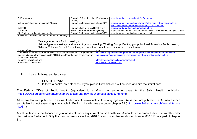| 6. Environment                                       |                                        | Federal Office for the Environment   https://www.bafu.admin.ch/bafu/en/home.html |
|------------------------------------------------------|----------------------------------------|----------------------------------------------------------------------------------|
|                                                      | (FOEN)                                 |                                                                                  |
| 7. Finance/ Revenue/ Investments/ Excise             | Federal Customs Administration (FCA)   | https://www.ezv.admin.ch/ezv/fr/home/infos-pour-entreprises/impots-et-           |
|                                                      |                                        | redevances/importation-en-suisse/impot-sur-le-tabac.html                         |
| 8. Health                                            | Federal Office of Public Health (FOPH) | https://www.bag.admin.ch/bag/en/home.html                                        |
| 9. Labour                                            | Swiss Labour Force Survey (SLFS)       | https://www.bfs.admin.ch/bfs/en/home/statistics/work-income/surveys/slfs.html    |
| 10. Trade and Industry/ Investments                  | Federal Customs Administration (FCA)   | https://www.ezv.admin.ch/ezv/en/home.html                                        |
| Additional agencies/sectors to be named per country: |                                        |                                                                                  |

c. Meetings Attended/ Public Hearings

List the types of meetings and name of groups meeting (Working Group, Drafting group, National Assembly Public Hearing, National Tobacco Control Committee, etc.) and the contact person / source of the minutes:

| Type of Meeting                                                                | Source                                                                            |
|--------------------------------------------------------------------------------|-----------------------------------------------------------------------------------|
| Commission fédérale pour les questions liées aux addictions et à la prévention | https://www.bag.admin.ch/bag/fr/home/das-bag/organisation/ausserparlamentarische- |
| des maladies non transmissibles (CFANT) (Swiss fédéral expert commission on    | <b>kommissionen/eidgenoessische-kommission-sucht-praevention-ncd-eksn.html</b>    |
| l NCDs and addictions                                                          |                                                                                   |
| Tobacco Prevention Fund                                                        | https://www.tpf.admin.ch/tpf/de/home.html                                         |
| Parliament commissions                                                         | https://www.parlament.ch/en                                                       |

II. Laws. Policies, and issuances:

#### HEALTH LAWS:

1. Is there a health law database? If yes, please list which one will be used and cite the limitations:

The Federal Office of Public Health (equivalent to a MoH) has an entry page for the Swiss Health Legislation (https://www.bag.admin.ch/bag/en/home/gesetze-und-bewilligungen/gesetzgebung.html)

All federal laws are published in a classified compilation available in four languages (all Swiss laws are published in German, French and Italian, but not everything is available in English); health laws are under chapter 81 (https://www.fedlex.admin.ch/en/cc/internallaw/81 ).

A first limitation is that tobacco regulation is not under any current public health law. A new tobacco products law is currently under discussion in Parliament. Only the Law on passive smoking (818.31) and its implementation ordinance (818.311) are part of chapter 81.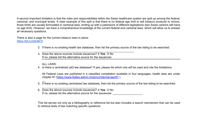A second important limitation is that the roles and responsibilities within the Swiss healthcare system are split up among the federal, cantonal, and municipal levels. A clear example of this split is that there is no federal age limit to sell tobacco products to minors, those limits are usually formulated in cantonal laws, ending up with a patchwork of different legislations (two Swiss cantons still have no age limit). However, we have a comprehensive knowledge of the current federal and cantonal laws, which will allow us to answer all necessary questions.

There is also a page for the current tobacco laws in place: https://bit.ly/32kdkFS

- 2. If there is no existing health law database, then list the primary source of the law listing to be searched:
- 3. Does the above sources include issuances? X **Yes** O No If no, please list the alternative source for the issuances:

#### ALL LAWS:

 $\overline{a}$ 

4. Is there a centralized (all) law database? If yes, please list which one will be used and cite the limitations:

All Federal Laws are published in a classified compilation available in four languages; health laws are under chapter 81 (https://www.fedlex.admin.ch/en/cc/internal-law/81 )

- 5. If there is no existing centralized law database, then list the primary source of the law listing to be searched:
- $\mathcal{L}_\text{max}$  , and the set of the set of the set of the set of the set of the set of the set of the set of the set of the set of the set of the set of the set of the set of the set of the set of the set of the set of the 6. Does the above sources include issuances? X **Yes** O No If no, please list the alternative source for the issuances: \_\_\_\_\_\_\_\_\_\_\_\_\_\_\_\_\_\_\_

\_\_\_\_\_\_\_\_\_\_\_\_\_\_\_\_\_\_\_\_\_\_\_\_\_\_\_\_\_\_\_\_\_\_\_\_\_\_\_\_\_\_\_\_\_\_\_\_\_\_\_\_\_\_\_\_\_\_\_

This list serves not only as a bibliography or reference list but also includes a search mechanism that can be used to retrieve texts of law matching specific questions.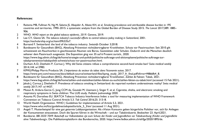#### **References:**

- 1 Reitsma MB, Fullman N, Ng M, Salama JS, Abajobir A, Abate KH, et al. Smoking prevalence and attributable disease burden in 195 countries and territories, 1990–2015: a systematic analysis from the Global Burden of Disease Study 2015. *The Lancet* 2017;389: 1885– 906.
- 2 WHO. *WHO report on the global tobacco epidemic, 2019.* Geneva, 2019.
- 3 Lee CY, Glantz SA. *The tobacco industry's successful efforts to control tobacco policy making in Switzerland*, 2001. https://escholarship.org/uc/item/09t535s7.
- 4 Burnand F. Switzerland: the land of the tobacco industry. *Swissinfo* October 3;2018.
- 5 Bundesamt für Gesundheit (BAG), Abteilung Prävention nichtübertragbarer Krankheiten. Schutz vor Passivrauchen: Seit 2010 gilt schweizweit ein Rauchverbot in geschlossenen Räumen wie Büros, Gaststätten oder Schulen. Dadurch sind die Menschen deutlich seltener dem Passivrauch ausgesetzt. Die Exposition ging von 35 auf 6 Prozent zurück., 2020. https://www.bag.admin.ch/bag/de/home/strategie-und-politik/politische-auftraege-und-aktionsplaene/politische-auftraege-zurtabakpraevention/tabakpolitik-schweiz/schutz-vor-passivrauchen.html.
- 6 Durham A-D, Diethelm P, Cornuz J. Why did Swiss citizens refuse a comprehensive second-hand smoke ban? *Swiss medical weekly* 2014;144: w13983.
- 7 KPMG/Philipp Morris Products SA. *L'importance du secteur du tabac dans l'économie suisse*, 2017. https://www.pmi.com/resources/docs/default-source/switzerland-files/kpmg\_study\_2017\_fr\_final.pdf?sfvrsn=f4866fb4\_8.
- 8 Bundesamt für Gesundheit (BAG), Abteilung Prävention nichtübertragbarer Krankheiten. Zahlen & Fakten: Tabak, 2021. https://www.bag.admin.ch/bag/de/home/zahlen-und-statistiken/zahlen-fakten-zu-sucht/zahlen-fakten-zu-tabak.html (accessed 15 Feb 2021).
- 9 Jakob J, Cornuz J, Diethelm P. Prevalence of tobacco smoking in Switzerland: do reported numbers underestimate reality? *Swiss medical weekly* 2017;147: w14437.
- 10 Mozun R, Ardura-Garcia C, Jong CCM de, Goutaki M, Usemann J, Singer F, et al. Cigarette, shisha, and electronic smoking and respiratory symptoms in Swiss children: The LUIS study. *Pediatric pulmonology* 2020.
- 11 Assunta M, Dorotheo EU. SEATCA Tobacco Industry Interference Index: a tool for measuring implementation of WHO Framework Convention on Tobacco Control Article 5.3. *Tob Control* 2016;25: 313–8.
- 12 World Health Organization. WHO | Guidelines for implementation of Article 5.3, 2021. https://www.who.int/fctc/guidelines/adopted/article 5 3/en/ (accessed 11 Aug 2021).
- 13 Angeli T. Musterbeispiel für eine gut getarnte Lobbyorganisation: Als «Vision Konsum» geben bürgerliche Politiker vor, sich für Anliegen der Konsumenten einzusetzen. Doch die Spuren führen in die Wirtschaft – und zur Tabakindustrie. *Beobachter* 23. April;2021.
- 14 Bundesrat. *BBl 2020 7049*: *Botschaft zur Volksinitiative «Ja zum Schutz der Kinder und Jugendlichen vor Tabakwerbung (Kinder und Jugendliche ohne Tabakwerbung)».* Die Publikationsplattform des Bundesrechts, 2020. https://www.fedlex.admin.ch/eli/fga/2020/1895/de.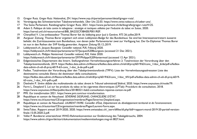- 15 Gregor Rutz. *Gregor Rutz*: *Nationalrat, ZH*. https://www.svp.ch/partei/personen/detail/gregor-rutz/.
- 16 Vereinigung des Schweizerischen Tabakwarenhandels. *Über Uns* 22.03. https://www.swiss-tobacco.ch/ueber-uns/.
- 17 The Swiss Parliament. Ratsbiographie Gregor Rutz, 2021. https://www.parlament.ch/de/biografie/gregor-rutz/4125.
- 18 Adam S. *Politique de lutte contre le tabagisme : stratégie et tactiques utilisées par l'industrie du tabac en Suisse*, 2020. https://serval.unil.ch/resource/serval:BIB\_BA232CF38AEB.P001/REF.
- 19 Cherpillod V. L'ex-ambassadeur Thomas Borer fait du lobbying pour Juul à Genève. *RTS* 26 juillet;2019.
- 20 Aargauer Zeitung. Thomas Borer ergattert sich einen Lobbyisten-Badge für das Bundeshaus: Sie sind bei Interessenvertretern äusserst beliebt: die Zutrittsausweise zum Bundeshaus, von denen jeder Parlamentarier zwei zur Verfügung hat. Der Ex-Diplomat Thomas Borer ist nun in den Reihen der SVP fündig geworden. *Aargauer Zeitung* 05.12.;2019.
- 21 Lobbywatch.ch. *Jacques Bourgeois*: *Conseiller national, PLR, Fribourg* 2020. https://lobbywatch.ch/fr/daten/parlamentarier/57/Jacques%20Bourgeois (accessed 21 Dec 2021).
- 22 Lobbywatch.ch. *Philippe Nantermod*: *Conseiller national, PLR, Valais* 2020. https://lobbywatch.ch/fr/daten/parlamentarier/297/Philippe%20Nantermod (accessed 12 Apr 2021).
- 23 Eidgenössisches Departement des Innern. Stellungnahmen Vernehmlassungsverfahren 2: Totalrevision der Verordnung über den Tabakpräventionsfonds, 2019. https://fedlex.data.admin.ch/filestore/fedlex.data.admin.ch/eli/dl/proj/6019/63/cons\_1/doc\_6/de/pdf-a/fedlexdata-admin-ch-eli-dl-proj-6019-63-cons\_1-doc\_6-de-pdf-a.pdf.
- 24 Fedlex. Totalrevision der Verordnung über den Tabakpräventionsfonds (TPFV): Liste der Vernehmlassungsadressaten Liste des destinataires consultés Elenco dei destinatari della consultazione. https://fedlex.data.admin.ch/filestore/fedlex.data.admin.ch/eli/dl/proj/6019/63/cons\_1/doc\_4/fr/pdf-a/fedlex-data-admin-ch-eli-dl-proj-6019- 63-cons\_1-doc\_4-fr-pdf-a.pdf.
- 25 Diethelm P. *Sévère défaite des multinationales du tabac devant le Tribunal administratif fédéral*, 2020. https://www.oxysuisse.ch/node/79.
- 26 Favre L, Despland S. Loi sur les produits du tabac et les cigarettes électroniques (LPTab): Procédure de consultation, 2018. https://www.oxysuisse.ch/files/public/docs/20180321-ltab2-consultation-reponse-canton-ne.pdf.
- 27 PMI. *Our transformation* 2021. https://www.pmi.com/our-transformation.
- 28 Republique et canton de Neuchatel. *SÉVERINE DESPLAND, CHANCELIÈRE D'ÉTAT*. https://www.ne.ch/autorites/CE/organisation/membres/Pages/Severine-Despland.aspx.
- 29 Republique et canton de Neuchatel. *LAURENT FAVRE*: *Conseiller d'État, Département du développement territorial et de l'environnement*. https://www.ne.ch/autorites/CE/organisation/membres/Pages/Laurent-Favre.aspx.
- 30 SwissTabac. Rapport annuel 2019-2020, 2020. https://www.swisstabac.ch/\_iserv/dlfiles/dl.php?ddl=rapport-moral-2019-20-partief-versionfinale-15.05.2020-2.pdf.
- 31 Vallat P. Bundesrat unterzeichnet WHO-Rahmenkonvention zur Eindämmung des Tabakgebrauchs, 2004. https://www.admin.ch/gov/de/start/dokumentation/medienmitteilungen.msg-id-3827.html.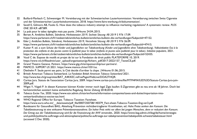- 32 Buillard-Marbach C, Schwenniger M. Vereinbarung mit der Schweizerischen Lauterkommission: Vereinbarung zwischen Swiss Cigarette und der Schweizerischen Lauterkeitskommission, 2018. https://www.faire-werbung.ch/dokumentation/.
- 33 Savell E, Gilmore AB, Fooks G. How does the tobacco industry attempt to influence marketing regulations? A systematic review. *PLOS ONE* 2014;9: e87389.
- 34 La pub pour le tabac épinglée mais pas punie. *24Heures* 24.04.;2015.
- 35 Berset A. *Amtliches Bulletin, Ständerat, Herbstsession 2019, Sechste Sitzung*: *AB 2019 S 976* 17.09. https://www.parlament.ch/fr/ratsbetrieb/amtliches-bulletin/amtliches-bulletin-die-verhandlungen?SubjectId=47152.
- 36 Eder J. *Amtliches Bulletin, Ständerat, Herbstsession 2019, Vierzehnte Sitzung*: *AB 2019 S 976* 26.09. https://www.parlament.ch/fr/ratsbetrieb/amtliches-bulletin/amtliches-bulletin-die-verhandlungen?SubjectId=47415.
- 37 Kutter P, ed. *a zum Schutz der Kinder und Jugendlichen vor Tabakwerbung (Kinder und Jugendliche ohne Tabakwerbung). Volksinitiative Oui à la protection des enfants et des jeunes contre la publicité pour le tabac (enfants et jeunes sans publicité pour le tabac). Initiative populaire*, 2021. https://www.parlament.ch/de/ratsbetrieb/amtliches-bulletin/amtliches-bulletin-die-verhandlungen?SubjectId=52435.
- 38 Vaud C de. Expose de motifs et projet de loi sur la Fondation de droit public PLATEFORME 10, 2019. https://www.vd.ch/fileadmin/user\_upload/organisation/gc/fichiers\_pdf/2017-2022/157\_TexteCE.pdf.
- 39 Grand Theatre Geneve. *Partners*. https://www.gtg.ch/en/sponsorship/our-partners/.
- 40 MAMCO. *SUPPORT US* 2021. https://www.mamco.ch/en/1031/us.
- 41 Diethelm P. Seule parmi ses pairs, la Cité decide d'arrêter la clope. *24Heures* 01.06.;2015.
- 42 British American Tobacco Switzerland. *La Fondation British American Tobacco Switzerland* 2021. http://www.bat.ch/group/sites/BAT\_A4KKEC.nsf/vwPagesWebLive/DOA2THQR.
- 43 Caritas Jura. Statuts de l'association Caritas Jura, 2009. https://www.caritas-jura.ch/dms/file/MTM4MA%3D%3D/Statuts-Caritas-Jura-juin-2009.pdf.
- 44 Wiget Y, Vögeli P. In diesen Kantonen können Kinder immer noch legal Zigis kaufen: E-Zigaretten gibt es neu erst ab 18 Jahren. Doch bei herkömmlichen existiert keine einheitliche Regelung. *Berner Zeitung* 2018;2018.
- 45 *Tobacco Excise Tax*, 2020. https://www.ezv.admin.ch/ezv/en/home/information-companies/taxes-and-duties/importation-intoswitzerland/tobacco-excise-tax.html.
- 46 WHO Regional Office for Europe. Tobacco Taxation: Factsheet. https://www.euro.who.int/ data/assets/pdf file/0007/250738/140379 Fact-sheet-Tobacco-Taxation-Eng-ver2.pdf.
- 47 Bundesamt für Gesundheit BAG, Abteilung Prävention nichtübertragbarer Krankheiten, ed. *Hohe Preise senken den Konsum*: *Die Tabakbesteuerung ist eine wirksame Präventionsmassnahme. Ein hoher Preis wirkt vor allem bei jungen Menschen, denn er reduziert den Konsum. Der Ertrag aus der Tabakbesteuerung wird für die Finanzierung der AHV verwendet.*, 2020. https://www.bag.admin.ch/bag/de/home/strategieund-politik/politische-auftraege-und-aktionsplaene/politische-auftraege-zur-tabakpraevention/tabakpolitik-schweiz/tabaksteuer.html (accessed 2 Dec 2020).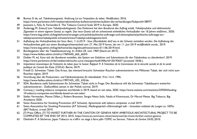- 48 Buman D de, ed. *Tabaksteuergesetz. Änderung Loi sur l'imposition du tabac. Modification*, 2016. https://www.parlament.ch/fr/ratsbetrieb/amtliches-bulletin/amtliches-bulletin-die-verhandlungen?SubjectId=38977.
- 49 Joossens L, Feliu A, Fernandez E. The Tobacco Control Scale 2019 in Europe, 2020.
- 50 Anderegg M. *Entwurf zum Tabakproduktegesetz*: *Das Parlament hat dem Bundesrat den Auftrag erteilt, Tabakprodukte und elektronische Zigaretten in einem eigenen Gesetz zu regeln. Das neue Gesetz soll ein schweizweit einheitliches Verkaufsalter von 18 Jahren einführen.*, 2020. https://www.bag.admin.ch/bag/de/home/strategie-und-politik/politische-auftraege-und-aktionsplaene/politische-auftraege-zurtabakpraevention/tabakpolitik-schweiz/entwurf-tabakproduktegesetz.html.
- 51 *Aufhebung des Verkaufsverbots bei Snus*: *Bern, 11.6.2019 - Snus (Mundtabak) darf neu in der Schweiz vertrieben werden. Die Aufhebung des Verkaufsverbots geht aus einem Bundesgerichtsentscheid vom 27. Mai 2019 hervor, der am 11. Juni 2019 veröffentlicht wurde.*, 2019. https://www.bag.admin.ch/bag/de/home/das-bag/aktuell/news/news-011-06-2019.html.
- 52 Bundesgesetz über die Tabakbesteuerung. In: *Artikel 28*, vom 1969 (Stand am 2017). https://www.fedlex.admin.ch/eli/cc/1969/645\_665\_663/fr.
- 53 Dobler M, ed. *Kann sich der Bundesrat vorstellen, das System von Gebühren und Subventionen für den Tabakanbau zu überdenken?*, 2019. https://www.parlament.ch/de/ratsbetrieb/suche-curia-vista/geschaeft?AffairId=20193637 (accessed 18.06.).
- 54 *Importance économique de l'industrie du tabac pour la Suisse*: *Rapport 9. À l'intention de la Commission de la sécurité sociale et de la santé publique du Conseil des États (CSSS-E).* Berne, 2019.
- 55 Friedli D. Schweizer Tabak: Das Kraut, das niemand braucht: Schweizer Raucher subventionieren mit Millionen Tabak, der sich nicht zum Rauchen eignet. 2019.
- 56 *Verordnung über die Produzenten- und Fabrikantenpreise für Inlandtabak*: *916.116.4*, 1996. https://www.fedlex.admin.ch/eli/cc/1997/435\_435\_435/de.
- 57 SDA. Bundesrat stellt Subventionen für Schweizer Tabak nicht in Frage: Der Bundesrat will die Schweizer Tabakbauern weiterhin subventionieren - Zielkonflikte seinen in der Politik normal. 2019.
- 58 Conway J. Leading tobacco companies worldwide in 2019, based on net sales, 2020. https://www.statista.com/statistics/259204/leading-10-tobacco-companies-worldwide-based-on-net-sales/.
- 59 Stefan Vermeulen, Manon Dillen, J. Robert Branston, Sergio Nieto Solis, Nadia el Khannoussi, Dr Marcel Metze. Big Tobacco, Big Avoidance 2020.
- 60 Swiss Associatino for Smoking Prevention (AT Schweiz). *Agreements with tobacco companies*. e-mail 2019.
- 61 Swiss Associatino for Smoking Prevention (AT Schweiz). *Mediengespräch «Glimmstängel adé – Innovation entlastet die Lungen zu 100%» (BAT Podium)*. e-mail 2019.
- 62 JTI Press Office. JTI TO INVEST FURTHER IN THE CANTON OF GENEVA NEW AMBITIOUS ARCHITECTURAL PROJECT TO BE COMPLETED BY THE END OF 2013, 2010. https://www.jti.com/news-views/newsroom/jti-invest-further-canton-geneva.
- 63 Diethelm P. A Sécheron, Japan Tobacco va s'offrir un siege à faire pâlir l'OMC ou Serono. *Tribune de Genève* 24.02.;2010.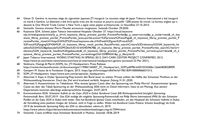- 64 Glaser D. Genève: le nouveau siège du cigarettier japonais JTI inauguré: Le nouveau siège de Japan Tobacco International a été inauguré ce mardi à Genève. Le bâtiment a été livré après trois ans de travaux et pourra accueillir 1200 postes de travail. Le bureau anglais qui a dessiné le One World Trade Center à New York a signé cette pépite architecturale. *Le Nouvelliste* 27.10.;2015.
- 65 Swissinfo. Geneva minister Pierre Maudet announces resignation. *Swissinfo* October 29;2020.
- 66 Keystone SDA. *Schweiz Japan Tobacco International Hauptsitz* Oktober 27. https://visual.keystonesda.ch/web/guest/preview?p\_p\_id=ch\_keystone\_liferay\_preview\_portlet\_PreviewPortlet&p\_p\_state=normal&p\_p\_mode=view&\_ch\_key stone liferay preview portlet PreviewPortlet javax.portlet.action=%2Fpreview%2FnextPage& ch\_keystone\_liferay\_preview\_portlet\_P reviewPortlet\_closeUrl=https%3A%2F%2Fvisual.keystone-sda.ch%2Fweb%2Fguest%2Fresult%2F-%2Fresult%2Fpaging%2F4364%3F\_ch\_keystone\_liferay\_result\_portlet\_ResultPortlet\_searchCriteria%3Drelevancy%253Af\_keywords\_he adline%253A%2528gebaeude%2529%26ts%3D1616424039678& ch keystone liferay\_preview\_portlet\_PreviewPortlet\_searchCriteria=r elevancy%3Af keywords headline%3A(gebaeude)& ch\_keystone\_liferay\_preview\_portlet\_PreviewPortlet\_currentLayout=detail&\_ch\_k eystone liferay preview portlet PreviewPortlet currentImageOid=259894341&p p lifecycle=0.
- 67 Japan Tobacco International. WORKS STARTING IN SPRING 2012: DAY-CARE CENTER PROJECT CONFIRMED, 2012. https://www.jti.com/news-views/newsroom/new-jti-international-headquarters-geneva (accessed 22 Mar 2021).
- 68 Skidmore, Owings & Merril (SOM), Inc. JTI Headquarters: Press Release. https://recherche.bauinfocenter.ch/document/get/119583/160407 |TI Headquarters SOM.pdf/f961b42f10335406c12ab65828258909.
- 69 Gampert M. Status de la Fondation Origami, 2015. https://ge.ch/hrcintapp/rdfisFile?id=7821839100000066031012.
- 70 SOM. *JTI Headquarters*. https://www.som.com/projects/jti\_headquarters.
- 71 Altermatt S. Expo in Dubai: Sponsoring-Flop kommt den Bund teuer zu stehen: Private sollten die Hälfte des Schweizer Pavillons an der Weltausstellung finanzieren. Doch das Ziel wird krachend verfehlt. *Aargauer Zeitung* 31.01.;2020.
- 72 Altermatt S. Aussenminister im Tabakdunst: Was wusste Ignazio Cassis über das Sponsoring von Philip Morris?: Aussenminister Ignazio Cassis sei über das Tabak-Sponsoring an der Weltausstellung 2020 nicht im Detail informiert, hiess es am Montag. Aus seinem Departement kommen allerdings widersprüchliche Aussagen. 24.07.;2019.
- 73 Kommunikation EDA. *Schweizer Auftritt an der Expo 2020 in Dubai: Bundesrat Cassis fällt Richtungsentscheid bezüglich Sponsoring-Partnerschaft*: *Bern, 30.07.2019 - Das EDA verfolgt die mögliche Sponsoring-Partnerschaft mit Philip Morris International (PMI) für den Schweizer Pavillon an der Expo 2020 in Dubai nicht weiter. Dies hat Bundesrat Ignazio Cassis entschieden, um das Hauptziel des Schweizer Auftritts in Dubai, die Vermittlung eines positiven Images der Schweiz, nicht in Frage zu stellen. Weiter hat Bundesrat Cassis Präsenz Schweiz beauftragt, bis Ende 2019 die bestehende Sponsoring Policy des EDA zu überarbeiten.* admin.ch, 2019.

https://www.admin.ch/gov/de/start/dokumentation/medienmitteilungen.msg-id-75944.html.

74 Swissinfo. Cassis eröffnet neue Schweizer Botschaft in Moskau. *Swissinfo* 18.06.;2019.